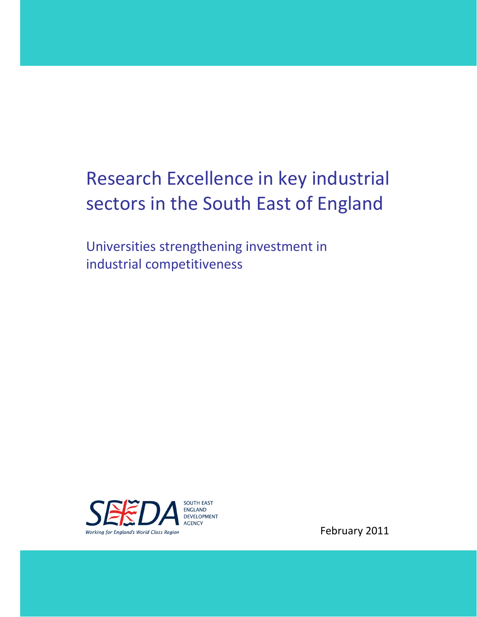# Research Excellence in key industrial sectors in the South East of England

Universities strengthening investment in industrial competitiveness



February 2011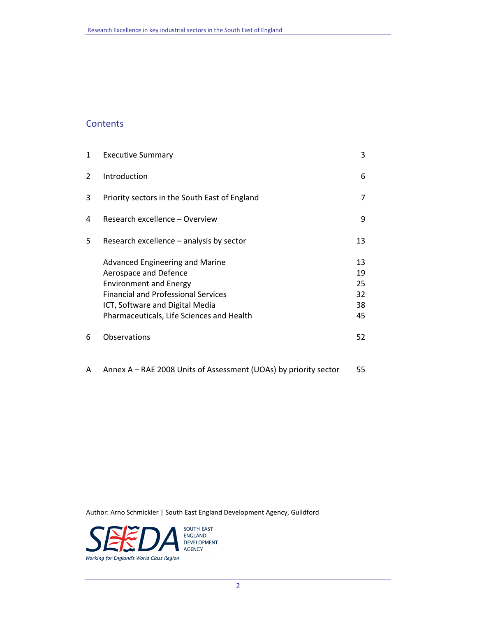# **Contents**

| 1 | <b>Executive Summary</b>                                                                                                                                                                                                | 3                                |
|---|-------------------------------------------------------------------------------------------------------------------------------------------------------------------------------------------------------------------------|----------------------------------|
| 2 | Introduction                                                                                                                                                                                                            | 6                                |
| 3 | Priority sectors in the South East of England                                                                                                                                                                           | 7                                |
| 4 | Research excellence – Overview                                                                                                                                                                                          | 9                                |
| 5 | Research excellence – analysis by sector                                                                                                                                                                                | 13                               |
|   | Advanced Engineering and Marine<br>Aerospace and Defence<br><b>Environment and Energy</b><br><b>Financial and Professional Services</b><br>ICT, Software and Digital Media<br>Pharmaceuticals, Life Sciences and Health | 13<br>19<br>25<br>32<br>38<br>45 |
| 6 | Observations                                                                                                                                                                                                            | 52                               |

A Annex A – RAE 2008 Units of Assessment (UOAs) by priority sector 55

Author: Arno Schmickler | South East England Development Agency, Guildford

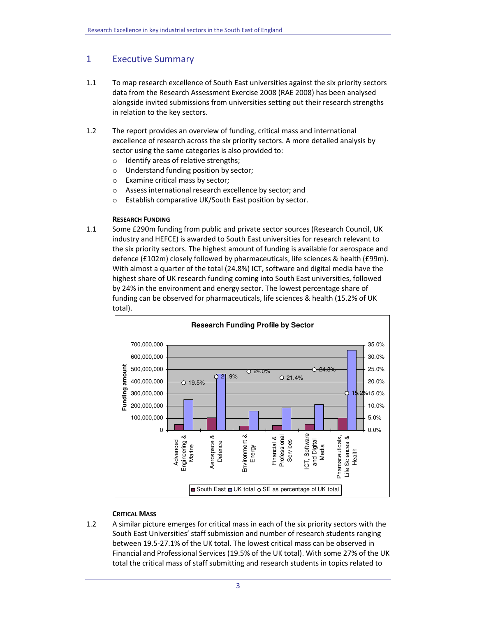# 1 Executive Summary

- 1.1 To map research excellence of South East universities against the six priority sectors data from the Research Assessment Exercise 2008 (RAE 2008) has been analysed alongside invited submissions from universities setting out their research strengths in relation to the key sectors.
- 1.2 The report provides an overview of funding, critical mass and international excellence of research across the six priority sectors. A more detailed analysis by sector using the same categories is also provided to:
	- o Identify areas of relative strengths;
	- o Understand funding position by sector;
	- o Examine critical mass by sector;
	- o Assess international research excellence by sector; and
	- o Establish comparative UK/South East position by sector.

## RESEARCH FUNDING

1.1 Some £290m funding from public and private sector sources (Research Council, UK industry and HEFCE) is awarded to South East universities for research relevant to the six priority sectors. The highest amount of funding is available for aerospace and defence (£102m) closely followed by pharmaceuticals, life sciences & health (£99m). With almost a quarter of the total (24.8%) ICT, software and digital media have the highest share of UK research funding coming into South East universities, followed by 24% in the environment and energy sector. The lowest percentage share of funding can be observed for pharmaceuticals, life sciences & health (15.2% of UK total).



# CRITICAL MASS

1.2 A similar picture emerges for critical mass in each of the six priority sectors with the South East Universities' staff submission and number of research students ranging between 19.5-27.1% of the UK total. The lowest critical mass can be observed in Financial and Professional Services (19.5% of the UK total). With some 27% of the UK total the critical mass of staff submitting and research students in topics related to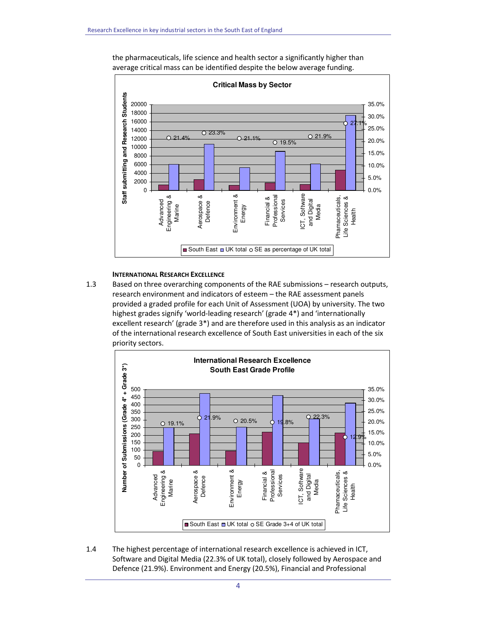

the pharmaceuticals, life science and health sector a significantly higher than average critical mass can be identified despite the below average funding.

#### INTERNATIONAL RESEARCH EXCELLENCE

1.3 Based on three overarching components of the RAE submissions – research outputs, research environment and indicators of esteem – the RAE assessment panels provided a graded profile for each Unit of Assessment (UOA) by university. The two highest grades signify 'world-leading research' (grade 4\*) and 'internationally excellent research' (grade 3\*) and are therefore used in this analysis as an indicator of the international research excellence of South East universities in each of the six priority sectors.



1.4 The highest percentage of international research excellence is achieved in ICT, Software and Digital Media (22.3% of UK total), closely followed by Aerospace and Defence (21.9%). Environment and Energy (20.5%), Financial and Professional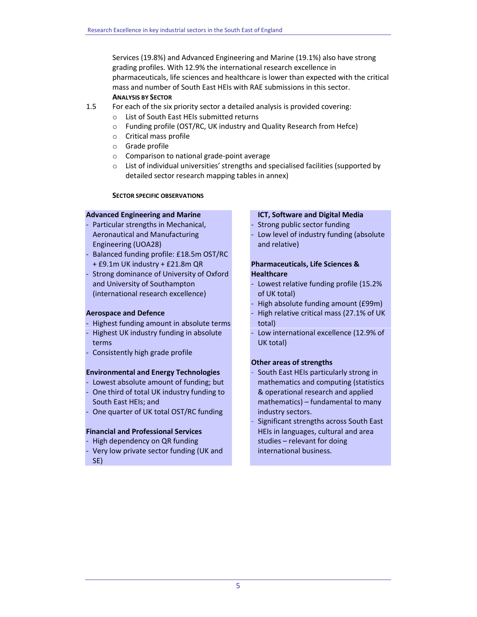Services (19.8%) and Advanced Engineering and Marine (19.1%) also have strong grading profiles. With 12.9% the international research excellence in pharmaceuticals, life sciences and healthcare is lower than expected with the critical mass and number of South East HEIs with RAE submissions in this sector. ANALYSIS BY SECTOR

- 1.5 For each of the six priority sector a detailed analysis is provided covering:
	- o List of South East HEIs submitted returns
	- o Funding profile (OST/RC, UK industry and Quality Research from Hefce)
	- o Critical mass profile
	- o Grade profile
	- o Comparison to national grade-point average
	- o List of individual universities' strengths and specialised facilities (supported by detailed sector research mapping tables in annex)

#### SECTOR SPECIFIC OBSERVATIONS

#### Advanced Engineering and Marine

- Particular strengths in Mechanical, Aeronautical and Manufacturing Engineering (UOA28)
- Balanced funding profile: £18.5m OST/RC + £9.1m UK industry + £21.8m QR
- Strong dominance of University of Oxford and University of Southampton (international research excellence)

## Aerospace and Defence

- Highest funding amount in absolute terms
- Highest UK industry funding in absolute terms
- Consistently high grade profile

## Environmental and Energy Technologies

- Lowest absolute amount of funding; but
- One third of total UK industry funding to South East HEIs; and
- One quarter of UK total OST/RC funding

#### Financial and Professional Services

- High dependency on QR funding
- Very low private sector funding (UK and SE)

#### ICT, Software and Digital Media

- Strong public sector funding
- Low level of industry funding (absolute and relative)

# Pharmaceuticals, Life Sciences & **Healthcare**

- Lowest relative funding profile (15.2% of UK total)
- High absolute funding amount (£99m)
- High relative critical mass (27.1% of UK total)
- Low international excellence (12.9% of UK total)

## Other areas of strengths

- South East HEIs particularly strong in mathematics and computing (statistics & operational research and applied mathematics) – fundamental to many industry sectors.
- Significant strengths across South East HEIs in languages, cultural and area studies – relevant for doing international business.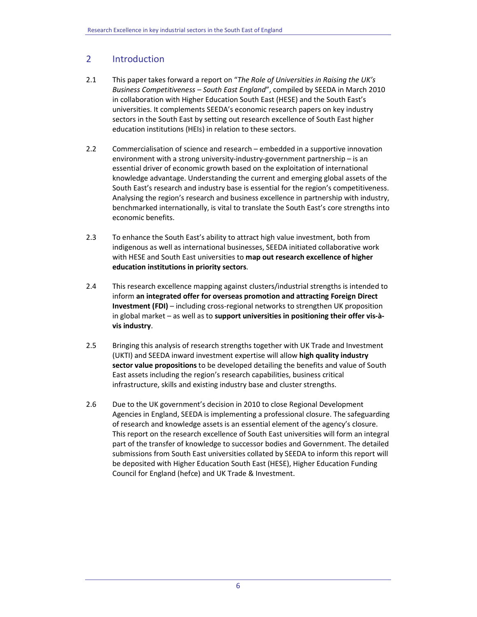# 2 Introduction

- 2.1 This paper takes forward a report on "The Role of Universities in Raising the UK's Business Competitiveness – South East England", compiled by SEEDA in March 2010 in collaboration with Higher Education South East (HESE) and the South East's universities. It complements SEEDA's economic research papers on key industry sectors in the South East by setting out research excellence of South East higher education institutions (HEIs) in relation to these sectors.
- 2.2 Commercialisation of science and research embedded in a supportive innovation environment with a strong university-industry-government partnership – is an essential driver of economic growth based on the exploitation of international knowledge advantage. Understanding the current and emerging global assets of the South East's research and industry base is essential for the region's competitiveness. Analysing the region's research and business excellence in partnership with industry, benchmarked internationally, is vital to translate the South East's core strengths into economic benefits.
- 2.3 To enhance the South East's ability to attract high value investment, both from indigenous as well as international businesses, SEEDA initiated collaborative work with HESE and South East universities to map out research excellence of higher education institutions in priority sectors.
- 2.4 This research excellence mapping against clusters/industrial strengths is intended to inform an integrated offer for overseas promotion and attracting Foreign Direct Investment (FDI) – including cross-regional networks to strengthen UK proposition in global market – as well as to support universities in positioning their offer vis-àvis industry.
- 2.5 Bringing this analysis of research strengths together with UK Trade and Investment (UKTI) and SEEDA inward investment expertise will allow high quality industry sector value propositions to be developed detailing the benefits and value of South East assets including the region's research capabilities, business critical infrastructure, skills and existing industry base and cluster strengths.
- 2.6 Due to the UK government's decision in 2010 to close Regional Development Agencies in England, SEEDA is implementing a professional closure. The safeguarding of research and knowledge assets is an essential element of the agency's closure. This report on the research excellence of South East universities will form an integral part of the transfer of knowledge to successor bodies and Government. The detailed submissions from South East universities collated by SEEDA to inform this report will be deposited with Higher Education South East (HESE), Higher Education Funding Council for England (hefce) and UK Trade & Investment.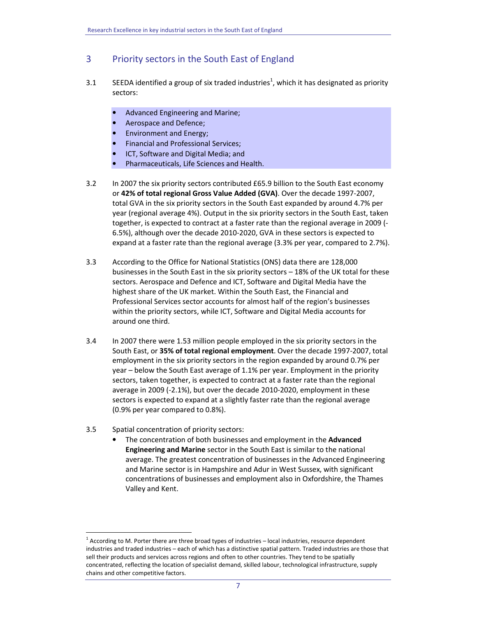# 3 Priority sectors in the South East of England

- 3.1 SEEDA identified a group of six traded industries<sup>1</sup>, which it has designated as priority sectors:
	- Advanced Engineering and Marine;
	- Aerospace and Defence;
	- Environment and Energy;
	- Financial and Professional Services;
	- ICT, Software and Digital Media; and
	- Pharmaceuticals, Life Sciences and Health.
- 3.2 In 2007 the six priority sectors contributed £65.9 billion to the South East economy or 42% of total regional Gross Value Added (GVA). Over the decade 1997-2007, total GVA in the six priority sectors in the South East expanded by around 4.7% per year (regional average 4%). Output in the six priority sectors in the South East, taken together, is expected to contract at a faster rate than the regional average in 2009 (- 6.5%), although over the decade 2010-2020, GVA in these sectors is expected to expand at a faster rate than the regional average (3.3% per year, compared to 2.7%).
- 3.3 According to the Office for National Statistics (ONS) data there are 128,000 businesses in the South East in the six priority sectors – 18% of the UK total for these sectors. Aerospace and Defence and ICT, Software and Digital Media have the highest share of the UK market. Within the South East, the Financial and Professional Services sector accounts for almost half of the region's businesses within the priority sectors, while ICT, Software and Digital Media accounts for around one third.
- 3.4 In 2007 there were 1.53 million people employed in the six priority sectors in the South East, or 35% of total regional employment. Over the decade 1997-2007, total employment in the six priority sectors in the region expanded by around 0.7% per year – below the South East average of 1.1% per year. Employment in the priority sectors, taken together, is expected to contract at a faster rate than the regional average in 2009 (-2.1%), but over the decade 2010-2020, employment in these sectors is expected to expand at a slightly faster rate than the regional average (0.9% per year compared to 0.8%).
- 3.5 Spatial concentration of priority sectors:

 $\overline{a}$ 

• The concentration of both businesses and employment in the Advanced Engineering and Marine sector in the South East is similar to the national average. The greatest concentration of businesses in the Advanced Engineering and Marine sector is in Hampshire and Adur in West Sussex, with significant concentrations of businesses and employment also in Oxfordshire, the Thames Valley and Kent.

 $1$  According to M. Porter there are three broad types of industries – local industries, resource dependent industries and traded industries – each of which has a distinctive spatial pattern. Traded industries are those that sell their products and services across regions and often to other countries. They tend to be spatially concentrated, reflecting the location of specialist demand, skilled labour, technological infrastructure, supply chains and other competitive factors.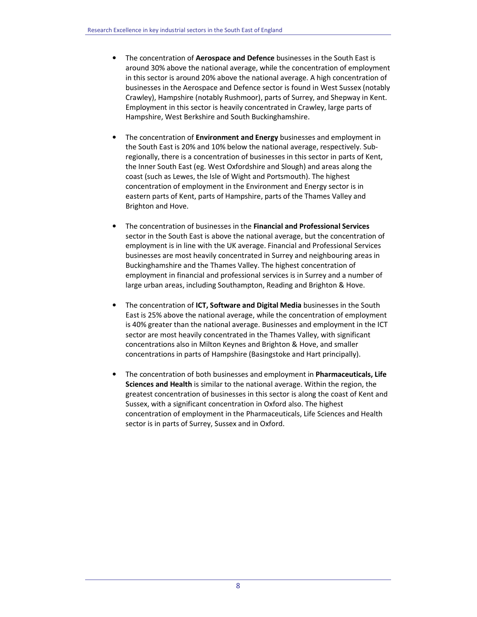- The concentration of Aerospace and Defence businesses in the South East is around 30% above the national average, while the concentration of employment in this sector is around 20% above the national average. A high concentration of businesses in the Aerospace and Defence sector is found in West Sussex (notably Crawley), Hampshire (notably Rushmoor), parts of Surrey, and Shepway in Kent. Employment in this sector is heavily concentrated in Crawley, large parts of Hampshire, West Berkshire and South Buckinghamshire.
- The concentration of Environment and Energy businesses and employment in the South East is 20% and 10% below the national average, respectively. Subregionally, there is a concentration of businesses in this sector in parts of Kent, the Inner South East (eg. West Oxfordshire and Slough) and areas along the coast (such as Lewes, the Isle of Wight and Portsmouth). The highest concentration of employment in the Environment and Energy sector is in eastern parts of Kent, parts of Hampshire, parts of the Thames Valley and Brighton and Hove.
- The concentration of businesses in the Financial and Professional Services sector in the South East is above the national average, but the concentration of employment is in line with the UK average. Financial and Professional Services businesses are most heavily concentrated in Surrey and neighbouring areas in Buckinghamshire and the Thames Valley. The highest concentration of employment in financial and professional services is in Surrey and a number of large urban areas, including Southampton, Reading and Brighton & Hove.
- The concentration of ICT, Software and Digital Media businesses in the South East is 25% above the national average, while the concentration of employment is 40% greater than the national average. Businesses and employment in the ICT sector are most heavily concentrated in the Thames Valley, with significant concentrations also in Milton Keynes and Brighton & Hove, and smaller concentrations in parts of Hampshire (Basingstoke and Hart principally).
- The concentration of both businesses and employment in Pharmaceuticals, Life Sciences and Health is similar to the national average. Within the region, the greatest concentration of businesses in this sector is along the coast of Kent and Sussex, with a significant concentration in Oxford also. The highest concentration of employment in the Pharmaceuticals, Life Sciences and Health sector is in parts of Surrey, Sussex and in Oxford.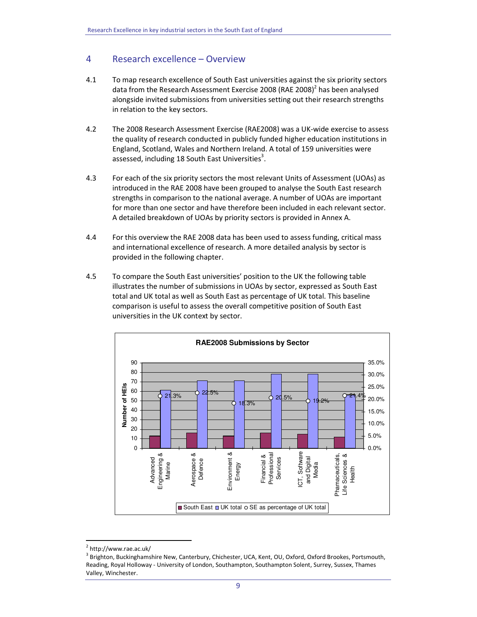# 4 Research excellence – Overview

- 4.1 To map research excellence of South East universities against the six priority sectors data from the Research Assessment Exercise 2008 (RAE 2008)<sup>2</sup> has been analysed alongside invited submissions from universities setting out their research strengths in relation to the key sectors.
- 4.2 The 2008 Research Assessment Exercise (RAE2008) was a UK-wide exercise to assess the quality of research conducted in publicly funded higher education institutions in England, Scotland, Wales and Northern Ireland. A total of 159 universities were assessed, including 18 South East Universities<sup>3</sup>.
- 4.3 For each of the six priority sectors the most relevant Units of Assessment (UOAs) as introduced in the RAE 2008 have been grouped to analyse the South East research strengths in comparison to the national average. A number of UOAs are important for more than one sector and have therefore been included in each relevant sector. A detailed breakdown of UOAs by priority sectors is provided in Annex A.
- 4.4 For this overview the RAE 2008 data has been used to assess funding, critical mass and international excellence of research. A more detailed analysis by sector is provided in the following chapter.
- 4.5 To compare the South East universities' position to the UK the following table illustrates the number of submissions in UOAs by sector, expressed as South East total and UK total as well as South East as percentage of UK total. This baseline comparison is useful to assess the overall competitive position of South East universities in the UK context by sector.



<sup>&</sup>lt;sup>2</sup> http://www.rae.ac.uk/

<sup>&</sup>lt;sup>3</sup> Brighton, Buckinghamshire New, Canterbury, Chichester, UCA, Kent, OU, Oxford, Oxford Brookes, Portsmouth, Reading, Royal Holloway - University of London, Southampton, Southampton Solent, Surrey, Sussex, Thames Valley, Winchester.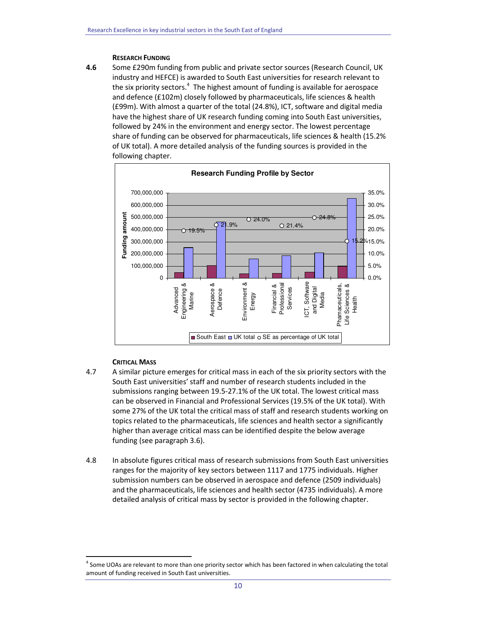#### RESEARCH FUNDING

4.6 Some £290m funding from public and private sector sources (Research Council, UK industry and HEFCE) is awarded to South East universities for research relevant to the six priority sectors.<sup>4</sup> The highest amount of funding is available for aerospace and defence (£102m) closely followed by pharmaceuticals, life sciences & health (£99m). With almost a quarter of the total (24.8%), ICT, software and digital media have the highest share of UK research funding coming into South East universities, followed by 24% in the environment and energy sector. The lowest percentage share of funding can be observed for pharmaceuticals, life sciences & health (15.2% of UK total). A more detailed analysis of the funding sources is provided in the following chapter.



# CRITICAL MASS

- 4.7 A similar picture emerges for critical mass in each of the six priority sectors with the South East universities' staff and number of research students included in the submissions ranging between 19.5-27.1% of the UK total. The lowest critical mass can be observed in Financial and Professional Services (19.5% of the UK total). With some 27% of the UK total the critical mass of staff and research students working on topics related to the pharmaceuticals, life sciences and health sector a significantly higher than average critical mass can be identified despite the below average funding (see paragraph 3.6).
- 4.8 In absolute figures critical mass of research submissions from South East universities ranges for the majority of key sectors between 1117 and 1775 individuals. Higher submission numbers can be observed in aerospace and defence (2509 individuals) and the pharmaceuticals, life sciences and health sector (4735 individuals). A more detailed analysis of critical mass by sector is provided in the following chapter.

<sup>&</sup>lt;sup>4</sup> Some UOAs are relevant to more than one priority sector which has been factored in when calculating the total amount of funding received in South East universities.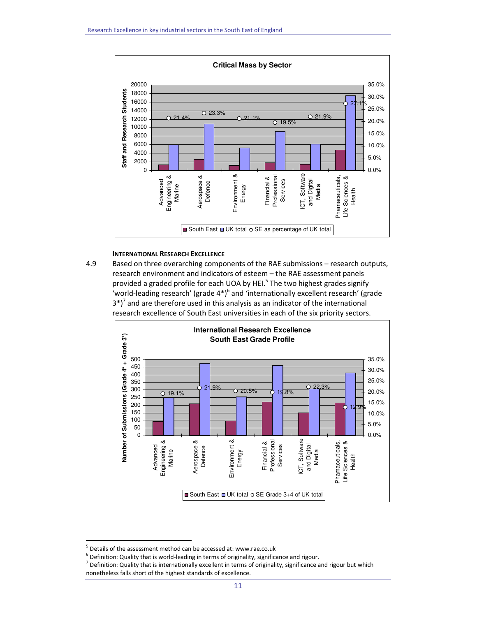

# INTERNATIONAL RESEARCH EXCELLENCE

4.9 Based on three overarching components of the RAE submissions – research outputs, research environment and indicators of esteem – the RAE assessment panels provided a graded profile for each UOA by HEI.<sup>5</sup> The two highest grades signify 'world-leading research' (grade  $4^*$ )<sup>6</sup> and 'internationally excellent research' (grade  $3^*$ <sup>7</sup> and are therefore used in this analysis as an indicator of the international research excellence of South East universities in each of the six priority sectors.



<sup>&</sup>lt;sup>5</sup> Details of the assessment method can be accessed at: www.rae.co.uk

 $<sup>6</sup>$  Definition: Quality that is world-leading in terms of originality, significance and rigour.</sup>

 $<sup>7</sup>$  Definition: Quality that is internationally excellent in terms of originality, significance and rigour but which</sup> nonetheless falls short of the highest standards of excellence.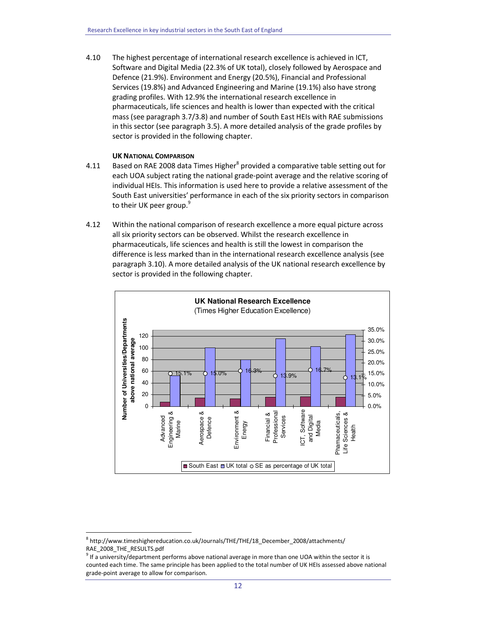4.10 The highest percentage of international research excellence is achieved in ICT, Software and Digital Media (22.3% of UK total), closely followed by Aerospace and Defence (21.9%). Environment and Energy (20.5%), Financial and Professional Services (19.8%) and Advanced Engineering and Marine (19.1%) also have strong grading profiles. With 12.9% the international research excellence in pharmaceuticals, life sciences and health is lower than expected with the critical mass (see paragraph 3.7/3.8) and number of South East HEIs with RAE submissions in this sector (see paragraph 3.5). A more detailed analysis of the grade profiles by sector is provided in the following chapter.

## UK NATIONAL COMPARISON

- 4.11 Based on RAE 2008 data Times Higher<sup>8</sup> provided a comparative table setting out for each UOA subject rating the national grade-point average and the relative scoring of individual HEIs. This information is used here to provide a relative assessment of the South East universities' performance in each of the six priority sectors in comparison to their UK peer group.<sup>9</sup>
- 4.12 Within the national comparison of research excellence a more equal picture across all six priority sectors can be observed. Whilst the research excellence in pharmaceuticals, life sciences and health is still the lowest in comparison the difference is less marked than in the international research excellence analysis (see paragraph 3.10). A more detailed analysis of the UK national research excellence by sector is provided in the following chapter.



<sup>8</sup> http://www.timeshighereducation.co.uk/Journals/THE/THE/18\_December\_2008/attachments/ RAE\_2008\_THE\_RESULTS.pdf

 $9$  If a university/department performs above national average in more than one UOA within the sector it is counted each time. The same principle has been applied to the total number of UK HEIs assessed above national grade-point average to allow for comparison.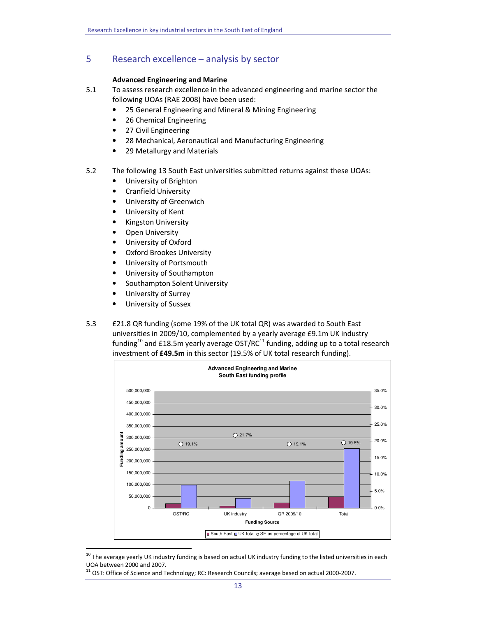# 5 Research excellence – analysis by sector

# Advanced Engineering and Marine

- 5.1 To assess research excellence in the advanced engineering and marine sector the following UOAs (RAE 2008) have been used:
	- 25 General Engineering and Mineral & Mining Engineering
	- 26 Chemical Engineering
	- 27 Civil Engineering
	- 28 Mechanical, Aeronautical and Manufacturing Engineering
	- 29 Metallurgy and Materials
- 5.2 The following 13 South East universities submitted returns against these UOAs:
	- University of Brighton
	- Cranfield University
	- University of Greenwich
	- University of Kent
	- Kingston University
	- Open University
	- University of Oxford
	- Oxford Brookes University
	- University of Portsmouth
	- University of Southampton
	- Southampton Solent University
	- University of Surrey
	- University of Sussex

 $\overline{a}$ 

5.3 £21.8 QR funding (some 19% of the UK total QR) was awarded to South East universities in 2009/10, complemented by a yearly average £9.1m UK industry funding<sup>10</sup> and £18.5m yearly average OST/RC<sup>11</sup> funding, adding up to a total research investment of £49.5m in this sector (19.5% of UK total research funding).



 $10$  The average yearly UK industry funding is based on actual UK industry funding to the listed universities in each UOA between 2000 and 2007.

 $11$  OST: Office of Science and Technology; RC: Research Councils; average based on actual 2000-2007.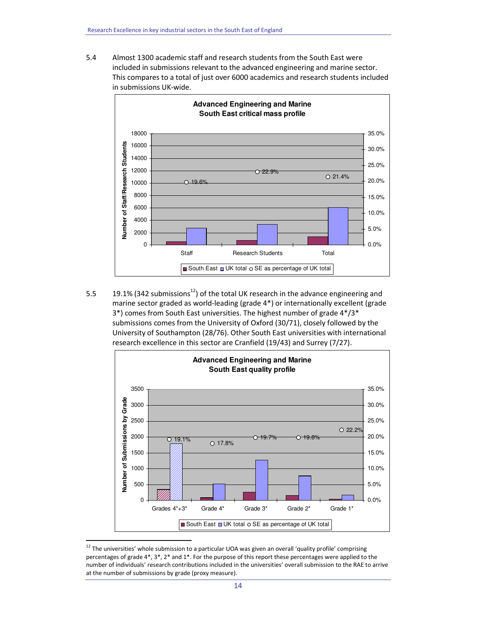5.4 Almost 1300 academic staff and research students from the South East were included in submissions relevant to the advanced engineering and marine sector. This compares to a total of just over 6000 academics and research students included in submissions UK-wide.



5.5 19.1% (342 submissions<sup>12</sup>) of the total UK research in the advance engineering and marine sector graded as world-leading (grade 4\*) or internationally excellent (grade 3\*) comes from South East universities. The highest number of grade 4\*/3\* submissions comes from the University of Oxford (30/71), closely followed by the University of Southampton (28/76). Other South East universities with international research excellence in this sector are Cranfield (19/43) and Surrey (7/27).



 $12$  The universities' whole submission to a particular UOA was given an overall 'quality profile' comprising percentages of grade 4\*, 3\*, 2\* and 1\*. For the purpose of this report these percentages were applied to the number of individuals' research contributions included in the universities' overall submission to the RAE to arrive at the number of submissions by grade (proxy measure).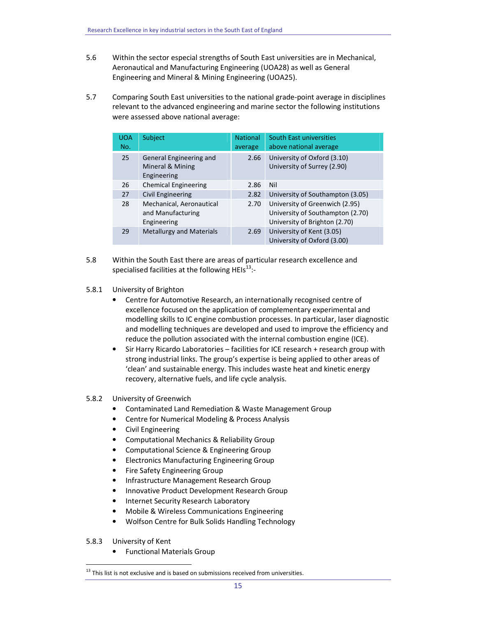- 5.6 Within the sector especial strengths of South East universities are in Mechanical, Aeronautical and Manufacturing Engineering (UOA28) as well as General Engineering and Mineral & Mining Engineering (UOA25).
- 5.7 Comparing South East universities to the national grade-point average in disciplines relevant to the advanced engineering and marine sector the following institutions were assessed above national average:

| <b>UOA</b><br>No. | Subject                                                      | <b>National</b><br>average | <b>South East universities</b><br>above national average                                            |
|-------------------|--------------------------------------------------------------|----------------------------|-----------------------------------------------------------------------------------------------------|
| 25                | General Engineering and<br>Mineral & Mining<br>Engineering   | 2.66                       | University of Oxford (3.10)<br>University of Surrey (2.90)                                          |
| 26                | <b>Chemical Engineering</b>                                  | 2.86                       | Nil                                                                                                 |
| 27                | <b>Civil Engineering</b>                                     | 2.82                       | University of Southampton (3.05)                                                                    |
| 28                | Mechanical, Aeronautical<br>and Manufacturing<br>Engineering | 2.70                       | University of Greenwich (2.95)<br>University of Southampton (2.70)<br>University of Brighton (2.70) |
| 29                | <b>Metallurgy and Materials</b>                              | 2.69                       | University of Kent (3.05)<br>University of Oxford (3.00)                                            |

- 5.8 Within the South East there are areas of particular research excellence and specialised facilities at the following HEIs $^{13}$ :-
- 5.8.1 University of Brighton
	- Centre for Automotive Research, an internationally recognised centre of excellence focused on the application of complementary experimental and modelling skills to IC engine combustion processes. In particular, laser diagnostic and modelling techniques are developed and used to improve the efficiency and reduce the pollution associated with the internal combustion engine (ICE).
	- Sir Harry Ricardo Laboratories facilities for ICE research + research group with strong industrial links. The group's expertise is being applied to other areas of 'clean' and sustainable energy. This includes waste heat and kinetic energy recovery, alternative fuels, and life cycle analysis.

## 5.8.2 University of Greenwich

- Contaminated Land Remediation & Waste Management Group
- Centre for Numerical Modeling & Process Analysis
- Civil Engineering
- Computational Mechanics & Reliability Group
- Computational Science & Engineering Group
- Electronics Manufacturing Engineering Group
- Fire Safety Engineering Group
- Infrastructure Management Research Group
- Innovative Product Development Research Group
- Internet Security Research Laboratory
- Mobile & Wireless Communications Engineering
- Wolfson Centre for Bulk Solids Handling Technology
- 5.8.3 University of Kent

 $\overline{a}$ 

• Functional Materials Group

 $13$  This list is not exclusive and is based on submissions received from universities.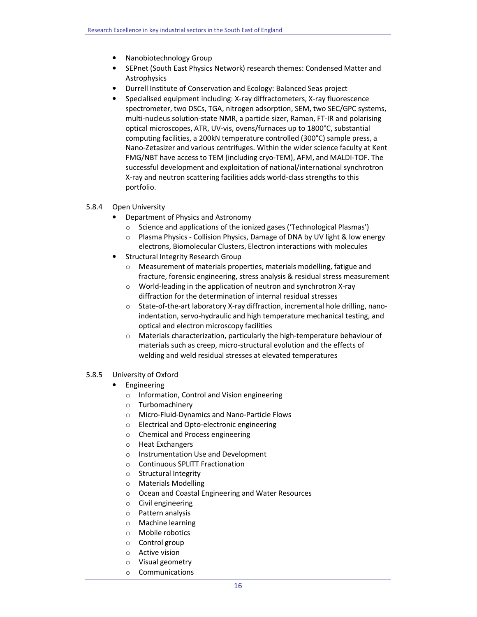- Nanobiotechnology Group
- SEPnet (South East Physics Network) research themes: Condensed Matter and Astrophysics
- Durrell Institute of Conservation and Ecology: Balanced Seas project
- Specialised equipment including: X-ray diffractometers, X-ray fluorescence spectrometer, two DSCs, TGA, nitrogen adsorption, SEM, two SEC/GPC systems, multi-nucleus solution-state NMR, a particle sizer, Raman, FT-IR and polarising optical microscopes, ATR, UV-vis, ovens/furnaces up to 1800°C, substantial computing facilities, a 200kN temperature controlled (300°C) sample press, a Nano-Zetasizer and various centrifuges. Within the wider science faculty at Kent FMG/NBT have access to TEM (including cryo-TEM), AFM, and MALDI-TOF. The successful development and exploitation of national/international synchrotron X-ray and neutron scattering facilities adds world-class strengths to this portfolio.
- 5.8.4 Open University
	- Department of Physics and Astronomy
		- o Science and applications of the ionized gases ('Technological Plasmas')
		- $\circ$  Plasma Physics Collision Physics, Damage of DNA by UV light & low energy electrons, Biomolecular Clusters, Electron interactions with molecules
	- Structural Integrity Research Group
		- o Measurement of materials properties, materials modelling, fatigue and fracture, forensic engineering, stress analysis & residual stress measurement
		- o World-leading in the application of neutron and synchrotron X-ray diffraction for the determination of internal residual stresses
		- $\circ$  State-of-the-art laboratory X-ray diffraction, incremental hole drilling, nanoindentation, servo-hydraulic and high temperature mechanical testing, and optical and electron microscopy facilities
		- o Materials characterization, particularly the high-temperature behaviour of materials such as creep, micro-structural evolution and the effects of welding and weld residual stresses at elevated temperatures
- 5.8.5 University of Oxford
	- **Engineering** 
		- o Information, Control and Vision engineering
		- o Turbomachinery
		- o Micro-Fluid-Dynamics and Nano-Particle Flows
		- o Electrical and Opto-electronic engineering
		- o Chemical and Process engineering
		- o Heat Exchangers
		- o Instrumentation Use and Development
		- o Continuous SPLITT Fractionation
		- o Structural Integrity
		- o Materials Modelling
		- o Ocean and Coastal Engineering and Water Resources
		- o Civil engineering
		- o Pattern analysis
		- o Machine learning
		- o Mobile robotics
		- o Control group
		- o Active vision
		- o Visual geometry
		- o Communications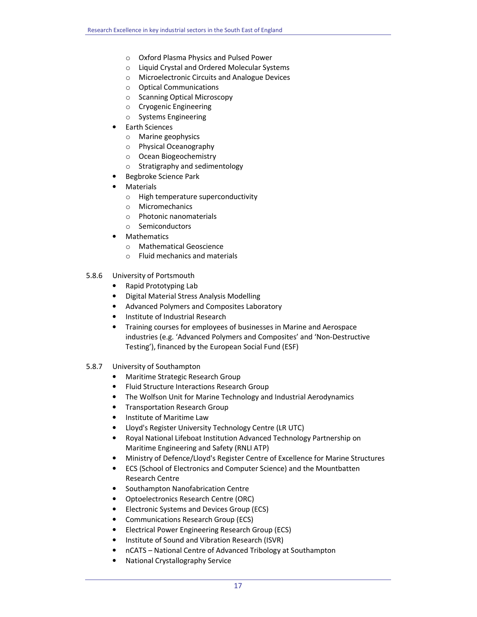- o Oxford Plasma Physics and Pulsed Power
- o Liquid Crystal and Ordered Molecular Systems
- o Microelectronic Circuits and Analogue Devices
- o Optical Communications
- o Scanning Optical Microscopy
- o Cryogenic Engineering
- o Systems Engineering
- Earth Sciences
	- o Marine geophysics
	- o Physical Oceanography
	- o Ocean Biogeochemistry
	- o Stratigraphy and sedimentology
- Begbroke Science Park
- **Materials** 
	- o High temperature superconductivity
	- o Micromechanics
	- o Photonic nanomaterials
	- o Semiconductors
- Mathematics
	- o Mathematical Geoscience
	- o Fluid mechanics and materials
- 5.8.6 University of Portsmouth
	- Rapid Prototyping Lab
	- Digital Material Stress Analysis Modelling
	- Advanced Polymers and Composites Laboratory
	- Institute of Industrial Research
	- Training courses for employees of businesses in Marine and Aerospace industries (e.g. 'Advanced Polymers and Composites' and 'Non-Destructive Testing'), financed by the European Social Fund (ESF)
- 5.8.7 University of Southampton
	- Maritime Strategic Research Group
	- Fluid Structure Interactions Research Group
	- The Wolfson Unit for Marine Technology and Industrial Aerodynamics
	- Transportation Research Group
	- Institute of Maritime Law
	- Lloyd's Register University Technology Centre (LR UTC)
	- Royal National Lifeboat Institution Advanced Technology Partnership on Maritime Engineering and Safety (RNLI ATP)
	- Ministry of Defence/Lloyd's Register Centre of Excellence for Marine Structures
	- ECS (School of Electronics and Computer Science) and the Mountbatten Research Centre
	- Southampton Nanofabrication Centre
	- Optoelectronics Research Centre (ORC)
	- Electronic Systems and Devices Group (ECS)
	- Communications Research Group (ECS)
	- Electrical Power Engineering Research Group (ECS)
	- Institute of Sound and Vibration Research (ISVR)
	- nCATS National Centre of Advanced Tribology at Southampton
	- National Crystallography Service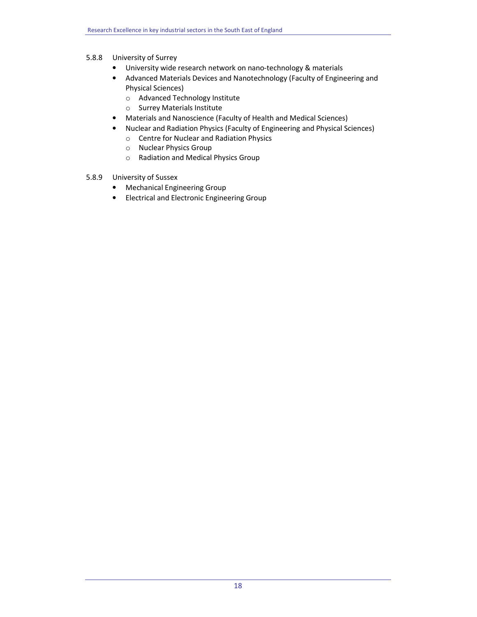# 5.8.8 University of Surrey

- University wide research network on nano-technology & materials
- Advanced Materials Devices and Nanotechnology (Faculty of Engineering and Physical Sciences)
	- o Advanced Technology Institute
	- o Surrey Materials Institute
- Materials and Nanoscience (Faculty of Health and Medical Sciences)
- Nuclear and Radiation Physics (Faculty of Engineering and Physical Sciences)
	- o Centre for Nuclear and Radiation Physics
	- o Nuclear Physics Group
	- o Radiation and Medical Physics Group
- 5.8.9 University of Sussex
	- Mechanical Engineering Group
	- Electrical and Electronic Engineering Group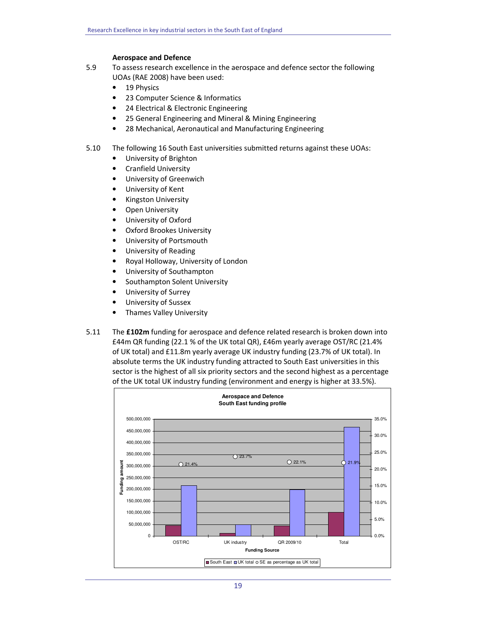## Aerospace and Defence

- 5.9 To assess research excellence in the aerospace and defence sector the following UOAs (RAE 2008) have been used:
	- 19 Physics
	- 23 Computer Science & Informatics
	- 24 Electrical & Electronic Engineering
	- 25 General Engineering and Mineral & Mining Engineering
	- 28 Mechanical, Aeronautical and Manufacturing Engineering
- 5.10 The following 16 South East universities submitted returns against these UOAs:
	- University of Brighton
	- Cranfield University
	- University of Greenwich
	- University of Kent
	- Kingston University
	- **Open University**
	- University of Oxford
	- Oxford Brookes University
	- University of Portsmouth
	- University of Reading
	- Royal Holloway, University of London
	- University of Southampton
	- Southampton Solent University
	- University of Surrey
	- University of Sussex
	- Thames Valley University
- 5.11 The £102m funding for aerospace and defence related research is broken down into £44m QR funding (22.1 % of the UK total QR), £46m yearly average OST/RC (21.4% of UK total) and £11.8m yearly average UK industry funding (23.7% of UK total). In absolute terms the UK industry funding attracted to South East universities in this sector is the highest of all six priority sectors and the second highest as a percentage of the UK total UK industry funding (environment and energy is higher at 33.5%).

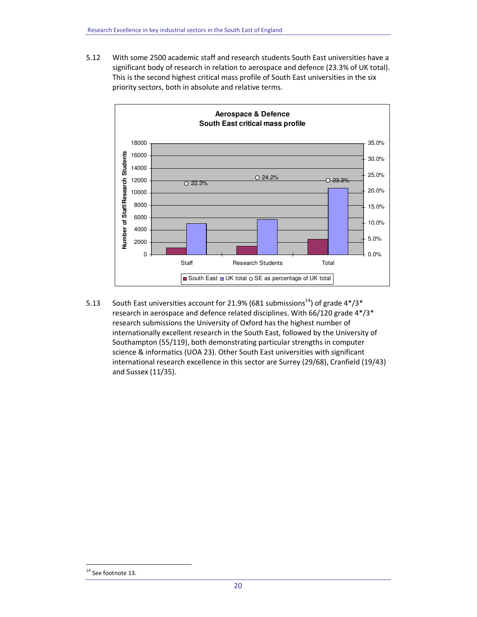5.12 With some 2500 academic staff and research students South East universities have a significant body of research in relation to aerospace and defence (23.3% of UK total). This is the second highest critical mass profile of South East universities in the six priority sectors, both in absolute and relative terms.



5.13 South East universities account for 21.9% (681 submissions<sup>14</sup>) of grade  $4*/3*$ research in aerospace and defence related disciplines. With 66/120 grade 4\*/3\* research submissions the University of Oxford has the highest number of internationally excellent research in the South East, followed by the University of Southampton (55/119), both demonstrating particular strengths in computer science & informatics (UOA 23). Other South East universities with significant international research excellence in this sector are Surrey (29/68), Cranfield (19/43) and Sussex (11/35).

<sup>&</sup>lt;sup>14</sup> See footnote 13.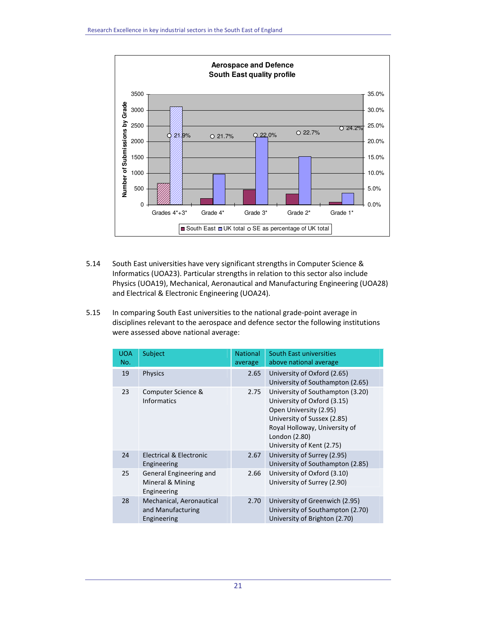

- 5.14 South East universities have very significant strengths in Computer Science & Informatics (UOA23). Particular strengths in relation to this sector also include Physics (UOA19), Mechanical, Aeronautical and Manufacturing Engineering (UOA28) and Electrical & Electronic Engineering (UOA24).
- 5.15 In comparing South East universities to the national grade-point average in disciplines relevant to the aerospace and defence sector the following institutions were assessed above national average:

| <b>UOA</b><br>No. | Subject                                                      | <b>National</b><br>average | South East universities<br>above national average                                                                                                                                                       |
|-------------------|--------------------------------------------------------------|----------------------------|---------------------------------------------------------------------------------------------------------------------------------------------------------------------------------------------------------|
| 19                | <b>Physics</b>                                               | 2.65                       | University of Oxford (2.65)<br>University of Southampton (2.65)                                                                                                                                         |
| 23                | Computer Science &<br><b>Informatics</b>                     | 2.75                       | University of Southampton (3.20)<br>University of Oxford (3.15)<br>Open University (2.95)<br>University of Sussex (2.85)<br>Royal Holloway, University of<br>London (2.80)<br>University of Kent (2.75) |
| 24                | Electrical & Electronic<br>Engineering                       | 2.67                       | University of Surrey (2.95)<br>University of Southampton (2.85)                                                                                                                                         |
| 25                | General Engineering and<br>Mineral & Mining<br>Engineering   | 2.66                       | University of Oxford (3.10)<br>University of Surrey (2.90)                                                                                                                                              |
| 28                | Mechanical, Aeronautical<br>and Manufacturing<br>Engineering | 2.70                       | University of Greenwich (2.95)<br>University of Southampton (2.70)<br>University of Brighton (2.70)                                                                                                     |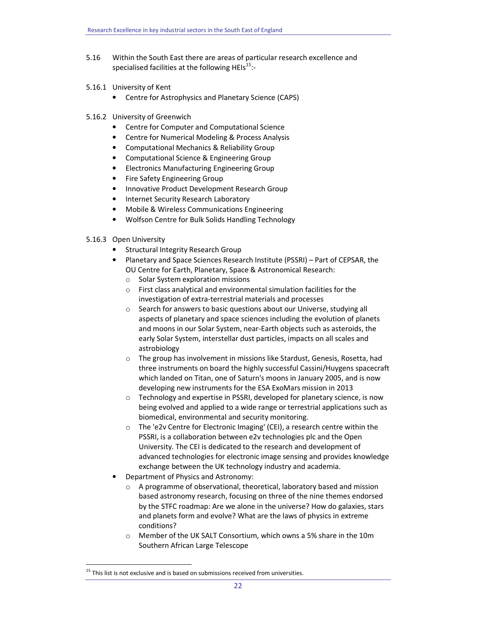- 5.16 Within the South East there are areas of particular research excellence and specialised facilities at the following HEIs $^{15}$ :-
- 5.16.1 University of Kent
	- Centre for Astrophysics and Planetary Science (CAPS)
- 5.16.2 University of Greenwich
	- Centre for Computer and Computational Science
	- Centre for Numerical Modeling & Process Analysis
	- Computational Mechanics & Reliability Group
	- Computational Science & Engineering Group
	- Electronics Manufacturing Engineering Group
	- Fire Safety Engineering Group
	- Innovative Product Development Research Group
	- Internet Security Research Laboratory
	- Mobile & Wireless Communications Engineering
	- Wolfson Centre for Bulk Solids Handling Technology

# 5.16.3 Open University

- Structural Integrity Research Group
- Planetary and Space Sciences Research Institute (PSSRI) Part of CEPSAR, the OU Centre for Earth, Planetary, Space & Astronomical Research:
	- o Solar System exploration missions
	- o First class analytical and environmental simulation facilities for the investigation of extra-terrestrial materials and processes
	- o Search for answers to basic questions about our Universe, studying all aspects of planetary and space sciences including the evolution of planets and moons in our Solar System, near-Earth objects such as asteroids, the early Solar System, interstellar dust particles, impacts on all scales and astrobiology
	- $\circ$  The group has involvement in missions like Stardust, Genesis, Rosetta, had three instruments on board the highly successful Cassini/Huygens spacecraft which landed on Titan, one of Saturn's moons in January 2005, and is now developing new instruments for the ESA ExoMars mission in 2013
	- o Technology and expertise in PSSRI, developed for planetary science, is now being evolved and applied to a wide range or terrestrial applications such as biomedical, environmental and security monitoring.
	- o The 'e2v Centre for Electronic Imaging' (CEI), a research centre within the PSSRI, is a collaboration between e2v technologies plc and the Open University. The CEI is dedicated to the research and development of advanced technologies for electronic image sensing and provides knowledge exchange between the UK technology industry and academia.
- Department of Physics and Astronomy:
	- $\circ$  A programme of observational, theoretical, laboratory based and mission based astronomy research, focusing on three of the nine themes endorsed by the STFC roadmap: Are we alone in the universe? How do galaxies, stars and planets form and evolve? What are the laws of physics in extreme conditions?
	- o Member of the UK SALT Consortium, which owns a 5% share in the 10m Southern African Large Telescope

 $15$  This list is not exclusive and is based on submissions received from universities.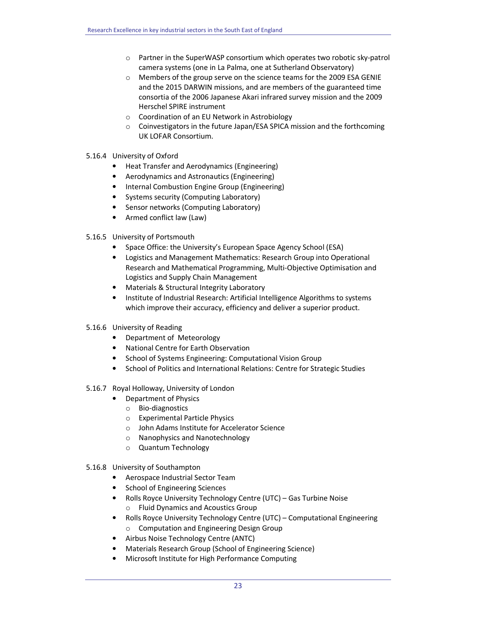- $\circ$  Partner in the SuperWASP consortium which operates two robotic sky-patrol camera systems (one in La Palma, one at Sutherland Observatory)
- o Members of the group serve on the science teams for the 2009 ESA GENIE and the 2015 DARWIN missions, and are members of the guaranteed time consortia of the 2006 Japanese Akari infrared survey mission and the 2009 Herschel SPIRE instrument
- o Coordination of an EU Network in Astrobiology
- $\circ$  Coinvestigators in the future Japan/ESA SPICA mission and the forthcoming UK LOFAR Consortium.
- 5.16.4 University of Oxford
	- Heat Transfer and Aerodynamics (Engineering)
	- Aerodynamics and Astronautics (Engineering)
	- Internal Combustion Engine Group (Engineering)
	- Systems security (Computing Laboratory)
	- Sensor networks (Computing Laboratory)
	- Armed conflict law (Law)
- 5.16.5 University of Portsmouth
	- Space Office: the University's European Space Agency School (ESA)
	- Logistics and Management Mathematics: Research Group into Operational Research and Mathematical Programming, Multi-Objective Optimisation and Logistics and Supply Chain Management
	- Materials & Structural Integrity Laboratory
	- Institute of Industrial Research: Artificial Intelligence Algorithms to systems which improve their accuracy, efficiency and deliver a superior product.
- 5.16.6 University of Reading
	- Department of Meteorology
	- National Centre for Earth Observation
	- School of Systems Engineering: Computational Vision Group
	- School of Politics and International Relations: Centre for Strategic Studies
- 5.16.7 Royal Holloway, University of London
	- Department of Physics
	- o Bio-diagnostics
	- o Experimental Particle Physics
	- o John Adams Institute for Accelerator Science
	- o Nanophysics and Nanotechnology
	- o Quantum Technology
- 5.16.8 University of Southampton
	- Aerospace Industrial Sector Team
	- School of Engineering Sciences
	- Rolls Royce University Technology Centre (UTC) Gas Turbine Noise
		- o Fluid Dynamics and Acoustics Group
	- Rolls Royce University Technology Centre (UTC) Computational Engineering o Computation and Engineering Design Group
	- Airbus Noise Technology Centre (ANTC)
	- Materials Research Group (School of Engineering Science)
	- Microsoft Institute for High Performance Computing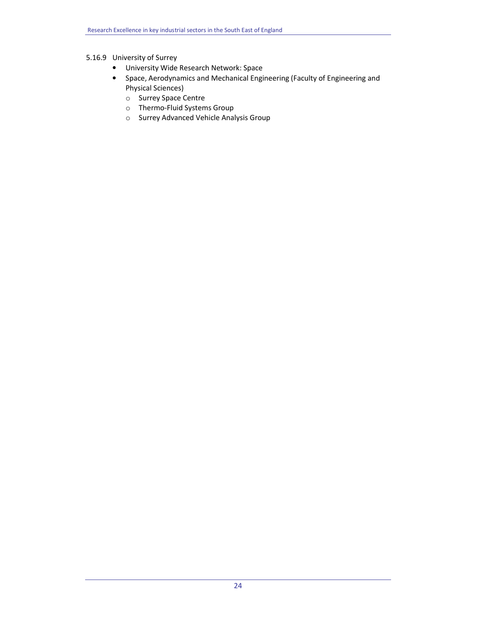# 5.16.9 University of Surrey

- University Wide Research Network: Space
- Space, Aerodynamics and Mechanical Engineering (Faculty of Engineering and Physical Sciences)
	- o Surrey Space Centre
	- o Thermo-Fluid Systems Group
	- o Surrey Advanced Vehicle Analysis Group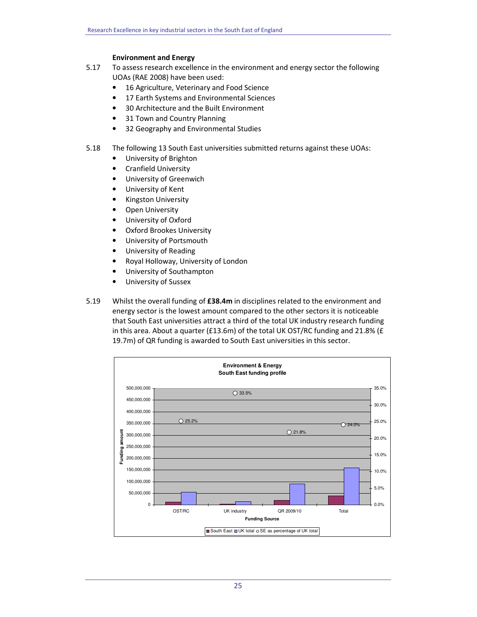# Environment and Energy

- 5.17 To assess research excellence in the environment and energy sector the following UOAs (RAE 2008) have been used:
	- 16 Agriculture, Veterinary and Food Science
	- 17 Earth Systems and Environmental Sciences
	- 30 Architecture and the Built Environment
	- 31 Town and Country Planning
	- 32 Geography and Environmental Studies
- 5.18 The following 13 South East universities submitted returns against these UOAs:
	- University of Brighton
	- Cranfield University
	- University of Greenwich
	- University of Kent
	- Kingston University
	- **Open University**
	- University of Oxford
	- Oxford Brookes University
	- University of Portsmouth
	- University of Reading
	- Royal Holloway, University of London
	- University of Southampton
	- University of Sussex
- 5.19 Whilst the overall funding of £38.4m in disciplines related to the environment and energy sector is the lowest amount compared to the other sectors it is noticeable that South East universities attract a third of the total UK industry research funding in this area. About a quarter (£13.6m) of the total UK OST/RC funding and 21.8% ( $E$ 19.7m) of QR funding is awarded to South East universities in this sector.

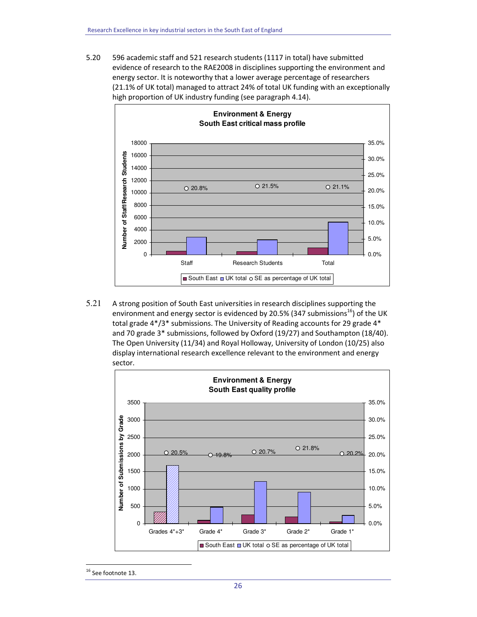5.20 596 academic staff and 521 research students (1117 in total) have submitted evidence of research to the RAE2008 in disciplines supporting the environment and energy sector. It is noteworthy that a lower average percentage of researchers (21.1% of UK total) managed to attract 24% of total UK funding with an exceptionally high proportion of UK industry funding (see paragraph 4.14).



5.21 A strong position of South East universities in research disciplines supporting the environment and energy sector is evidenced by 20.5% (347 submissions<sup>16</sup>) of the UK total grade 4\*/3\* submissions. The University of Reading accounts for 29 grade 4\* and 70 grade 3\* submissions, followed by Oxford (19/27) and Southampton (18/40). The Open University (11/34) and Royal Holloway, University of London (10/25) also display international research excellence relevant to the environment and energy sector.



<sup>&</sup>lt;sup>16</sup> See footnote 13.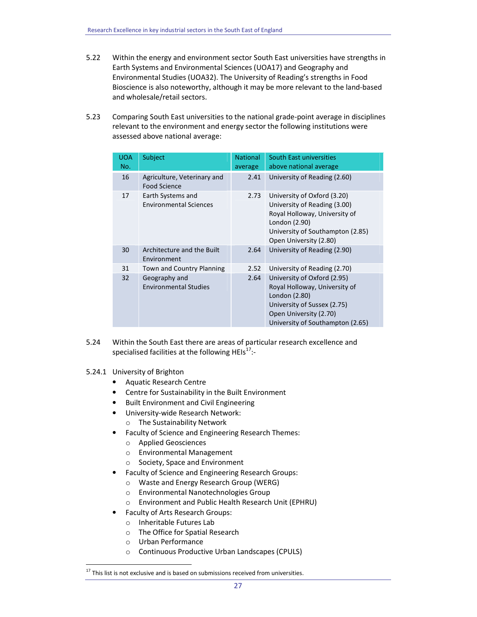- 5.22 Within the energy and environment sector South East universities have strengths in Earth Systems and Environmental Sciences (UOA17) and Geography and Environmental Studies (UOA32). The University of Reading's strengths in Food Bioscience is also noteworthy, although it may be more relevant to the land-based and wholesale/retail sectors.
- 5.23 Comparing South East universities to the national grade-point average in disciplines relevant to the environment and energy sector the following institutions were assessed above national average:

| <b>UOA</b><br>No. | Subject                                            | <b>National</b><br>average | South East universities<br>above national average                                                                                                                           |
|-------------------|----------------------------------------------------|----------------------------|-----------------------------------------------------------------------------------------------------------------------------------------------------------------------------|
| 16                | Agriculture, Veterinary and<br><b>Food Science</b> | 2.41                       | University of Reading (2.60)                                                                                                                                                |
| 17                | Earth Systems and<br><b>Environmental Sciences</b> | 2.73                       | University of Oxford (3.20)<br>University of Reading (3.00)<br>Royal Holloway, University of<br>London (2.90)<br>University of Southampton (2.85)<br>Open University (2.80) |
| 30                | Architecture and the Built<br>Environment          | 2.64                       | University of Reading (2.90)                                                                                                                                                |
| 31                | Town and Country Planning                          | 2.52                       | University of Reading (2.70)                                                                                                                                                |
| 32                | Geography and<br><b>Environmental Studies</b>      | 2.64                       | University of Oxford (2.95)<br>Royal Holloway, University of<br>London (2.80)<br>University of Sussex (2.75)<br>Open University (2.70)<br>University of Southampton (2.65)  |

- 5.24 Within the South East there are areas of particular research excellence and specialised facilities at the following HEIs $^{17}$ :-
- 5.24.1 University of Brighton
	- Aquatic Research Centre
	- Centre for Sustainability in the Built Environment
	- Built Environment and Civil Engineering
	- University-wide Research Network:
		- o The Sustainability Network
	- Faculty of Science and Engineering Research Themes:
		- o Applied Geosciences
		- o Environmental Management
		- o Society, Space and Environment
	- Faculty of Science and Engineering Research Groups:
		- o Waste and Energy Research Group (WERG)
		- o Environmental Nanotechnologies Group
		- o Environment and Public Health Research Unit (EPHRU)
		- Faculty of Arts Research Groups:
		- o Inheritable Futures Lab
		- o The Office for Spatial Research
		- o Urban Performance

 $\overline{a}$ 

o Continuous Productive Urban Landscapes (CPULS)

 $17$  This list is not exclusive and is based on submissions received from universities.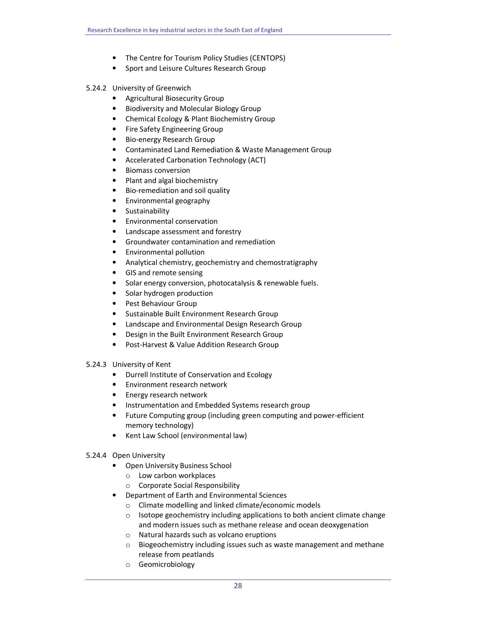- The Centre for Tourism Policy Studies (CENTOPS)
- Sport and Leisure Cultures Research Group
- 5.24.2 University of Greenwich
	- Agricultural Biosecurity Group
	- Biodiversity and Molecular Biology Group
	- Chemical Ecology & Plant Biochemistry Group
	- Fire Safety Engineering Group
	- Bio-energy Research Group
	- Contaminated Land Remediation & Waste Management Group
	- Accelerated Carbonation Technology (ACT)
	- Biomass conversion
	- Plant and algal biochemistry
	- Bio-remediation and soil quality
	- Environmental geography
	- Sustainability
	- Environmental conservation
	- Landscape assessment and forestry
	- Groundwater contamination and remediation
	- Environmental pollution
	- Analytical chemistry, geochemistry and chemostratigraphy
	- GIS and remote sensing
	- Solar energy conversion, photocatalysis & renewable fuels.
	- Solar hydrogen production
	- Pest Behaviour Group
	- Sustainable Built Environment Research Group
	- Landscape and Environmental Design Research Group
	- Design in the Built Environment Research Group
	- Post-Harvest & Value Addition Research Group
- 5.24.3 University of Kent
	- Durrell Institute of Conservation and Ecology
	- Environment research network
	- Energy research network
	- Instrumentation and Embedded Systems research group
	- Future Computing group (including green computing and power-efficient memory technology)
	- Kent Law School (environmental law)
- 5.24.4 Open University
	- Open University Business School
		- o Low carbon workplaces
		- o Corporate Social Responsibility
	- Department of Earth and Environmental Sciences
		- o Climate modelling and linked climate/economic models
		- o Isotope geochemistry including applications to both ancient climate change and modern issues such as methane release and ocean deoxygenation
		- o Natural hazards such as volcano eruptions
		- $\circ$  Biogeochemistry including issues such as waste management and methane release from peatlands
		- o Geomicrobiology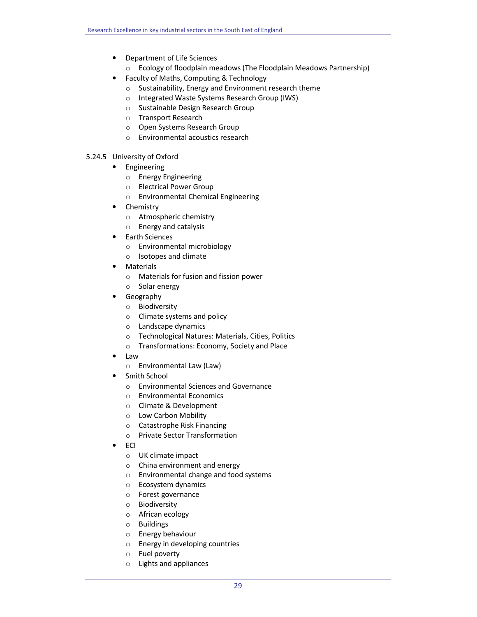- Department of Life Sciences
	- o Ecology of floodplain meadows (The Floodplain Meadows Partnership)
- Faculty of Maths, Computing & Technology
	- o Sustainability, Energy and Environment research theme
	- o Integrated Waste Systems Research Group (IWS)
	- o Sustainable Design Research Group
	- o Transport Research
	- o Open Systems Research Group
	- o Environmental acoustics research
- 5.24.5 University of Oxford
	- Engineering
		- o Energy Engineering
		- o Electrical Power Group
		- o Environmental Chemical Engineering
	- Chemistry
		- o Atmospheric chemistry
		- o Energy and catalysis
	- Earth Sciences
		- o Environmental microbiology
		- o Isotopes and climate
	- Materials
		- o Materials for fusion and fission power
		- o Solar energy
	- Geography
		- o Biodiversity
		- o Climate systems and policy
		- o Landscape dynamics
		- o Technological Natures: Materials, Cities, Politics
		- o Transformations: Economy, Society and Place
	- Law
		- o Environmental Law (Law)
	- Smith School
		- o Environmental Sciences and Governance
		- o Environmental Economics
		- o Climate & Development
		- o Low Carbon Mobility
		- o Catastrophe Risk Financing
		- o Private Sector Transformation
	- ECI
		- o UK climate impact
		- o China environment and energy
		- o Environmental change and food systems
		- o Ecosystem dynamics
		- o Forest governance
		- o Biodiversity
		- o African ecology
		- o Buildings
		- o Energy behaviour
		- o Energy in developing countries
		- o Fuel poverty
		- o Lights and appliances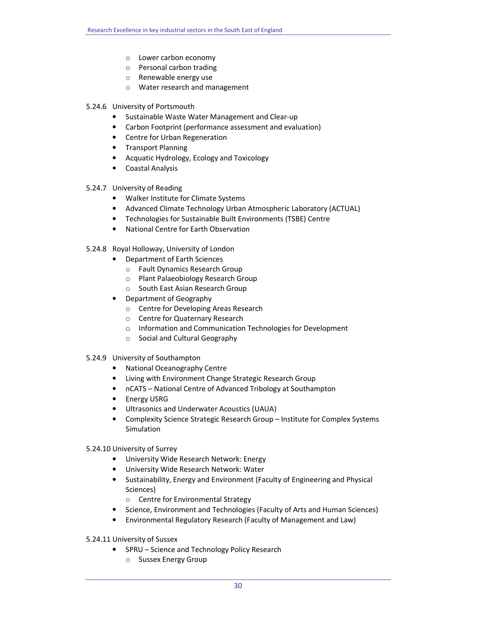- o Lower carbon economy
- o Personal carbon trading
- o Renewable energy use
- o Water research and management
- 5.24.6 University of Portsmouth
	- Sustainable Waste Water Management and Clear-up
	- Carbon Footprint (performance assessment and evaluation)
	- Centre for Urban Regeneration
	- Transport Planning
	- Acquatic Hydrology, Ecology and Toxicology
	- Coastal Analysis
- 5.24.7 University of Reading
	- Walker Institute for Climate Systems
	- Advanced Climate Technology Urban Atmospheric Laboratory (ACTUAL)
	- Technologies for Sustainable Built Environments (TSBE) Centre
	- National Centre for Earth Observation
- 5.24.8 Royal Holloway, University of London
	- Department of Earth Sciences
		- o Fault Dynamics Research Group
		- o Plant Palaeobiology Research Group
		- o South East Asian Research Group
	- Department of Geography
		- o Centre for Developing Areas Research
		- o Centre for Quaternary Research
		- o Information and Communication Technologies for Development
		- o Social and Cultural Geography
- 5.24.9 University of Southampton
	- National Oceanography Centre
	- Living with Environment Change Strategic Research Group
	- nCATS National Centre of Advanced Tribology at Southampton
	- Energy USRG
	- Ultrasonics and Underwater Acoustics (UAUA)
	- Complexity Science Strategic Research Group Institute for Complex Systems **Simulation**
- 5.24.10 University of Surrey
	- University Wide Research Network: Energy
	- University Wide Research Network: Water
	- Sustainability, Energy and Environment (Faculty of Engineering and Physical Sciences)
		- o Centre for Environmental Strategy
	- Science, Environment and Technologies (Faculty of Arts and Human Sciences)
	- Environmental Regulatory Research (Faculty of Management and Law)
- 5.24.11 University of Sussex
	- SPRU Science and Technology Policy Research
		- o Sussex Energy Group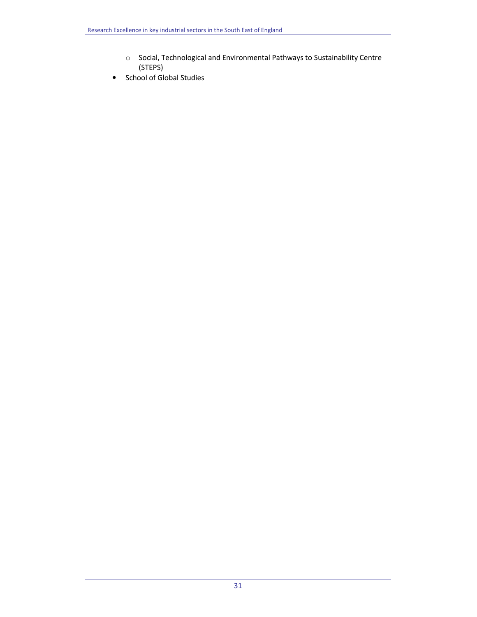- o Social, Technological and Environmental Pathways to Sustainability Centre (STEPS)
- School of Global Studies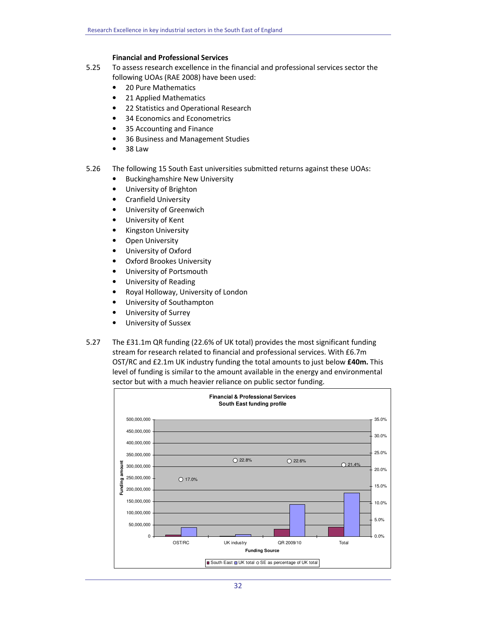# Financial and Professional Services

- 5.25 To assess research excellence in the financial and professional services sector the following UOAs (RAE 2008) have been used:
	- 20 Pure Mathematics
	- 21 Applied Mathematics
	- 22 Statistics and Operational Research
	- 34 Economics and Econometrics
	- 35 Accounting and Finance
	- 36 Business and Management Studies
	- 38 Law
- 5.26 The following 15 South East universities submitted returns against these UOAs:
	- Buckinghamshire New University
	- University of Brighton
	- Cranfield University
	- University of Greenwich
	- University of Kent
	- Kingston University
	- Open University
	- University of Oxford
	- Oxford Brookes University
	- University of Portsmouth
	- University of Reading
	- Royal Holloway, University of London
	- University of Southampton
	- University of Surrey
	- University of Sussex
- 5.27 The £31.1m QR funding (22.6% of UK total) provides the most significant funding stream for research related to financial and professional services. With £6.7m OST/RC and £2.1m UK industry funding the total amounts to just below £40m. This level of funding is similar to the amount available in the energy and environmental sector but with a much heavier reliance on public sector funding.

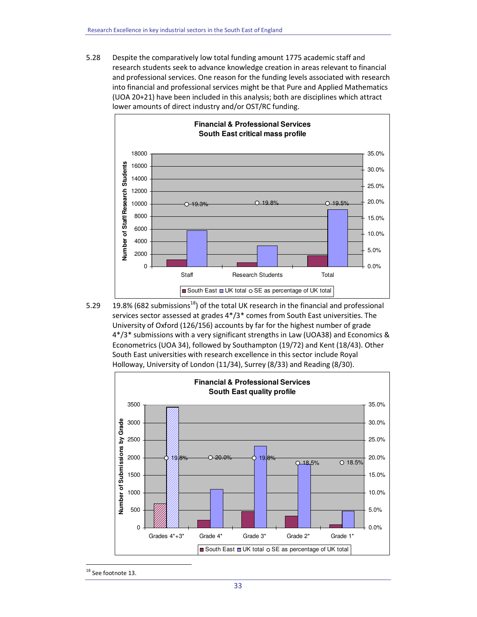5.28 Despite the comparatively low total funding amount 1775 academic staff and research students seek to advance knowledge creation in areas relevant to financial and professional services. One reason for the funding levels associated with research into financial and professional services might be that Pure and Applied Mathematics (UOA 20+21) have been included in this analysis; both are disciplines which attract lower amounts of direct industry and/or OST/RC funding.



5.29 19.8% (682 submissions<sup>18</sup>) of the total UK research in the financial and professional services sector assessed at grades 4\*/3\* comes from South East universities. The University of Oxford (126/156) accounts by far for the highest number of grade 4\*/3\* submissions with a very significant strengths in Law (UOA38) and Economics & Econometrics (UOA 34), followed by Southampton (19/72) and Kent (18/43). Other South East universities with research excellence in this sector include Royal Holloway, University of London (11/34), Surrey (8/33) and Reading (8/30).



<sup>&</sup>lt;sup>18</sup> See footnote 13.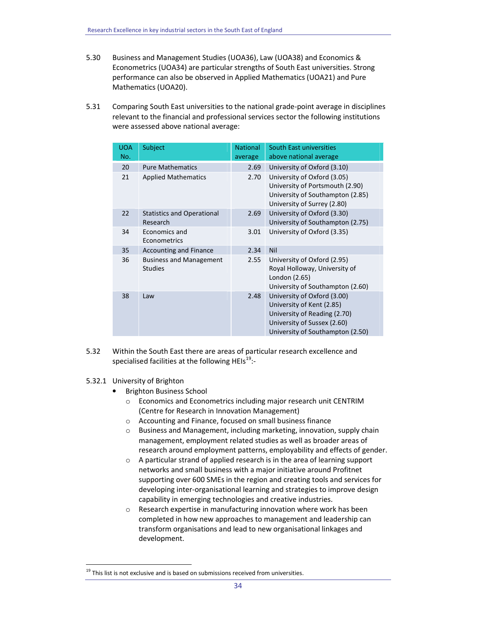- 5.30 Business and Management Studies (UOA36), Law (UOA38) and Economics & Econometrics (UOA34) are particular strengths of South East universities. Strong performance can also be observed in Applied Mathematics (UOA21) and Pure Mathematics (UOA20).
- 5.31 Comparing South East universities to the national grade-point average in disciplines relevant to the financial and professional services sector the following institutions were assessed above national average:

| <b>UOA</b><br>No. | Subject                                          | <b>National</b><br>average | South East universities<br>above national average                                                                                                           |
|-------------------|--------------------------------------------------|----------------------------|-------------------------------------------------------------------------------------------------------------------------------------------------------------|
| 20                | <b>Pure Mathematics</b>                          | 2.69                       | University of Oxford (3.10)                                                                                                                                 |
| 21                | <b>Applied Mathematics</b>                       | 2.70                       | University of Oxford (3.05)<br>University of Portsmouth (2.90)<br>University of Southampton (2.85)<br>University of Surrey (2.80)                           |
| 22                | <b>Statistics and Operational</b><br>Research    | 2.69                       | University of Oxford (3.30)<br>University of Southampton (2.75)                                                                                             |
| 34                | Economics and<br>Econometrics                    | 3.01                       | University of Oxford (3.35)                                                                                                                                 |
| 35                | <b>Accounting and Finance</b>                    | 2.34                       | <b>Nil</b>                                                                                                                                                  |
| 36                | <b>Business and Management</b><br><b>Studies</b> | 2.55                       | University of Oxford (2.95)<br>Royal Holloway, University of<br>London (2.65)<br>University of Southampton (2.60)                                           |
| 38                | Law                                              | 2.48                       | University of Oxford (3.00)<br>University of Kent (2.85)<br>University of Reading (2.70)<br>University of Sussex (2.60)<br>University of Southampton (2.50) |

- 5.32 Within the South East there are areas of particular research excellence and specialised facilities at the following HEIs<sup>19</sup>:-
- 5.32.1 University of Brighton

- Brighton Business School
	- o Economics and Econometrics including major research unit CENTRIM (Centre for Research in Innovation Management)
	- o Accounting and Finance, focused on small business finance
	- o Business and Management, including marketing, innovation, supply chain management, employment related studies as well as broader areas of research around employment patterns, employability and effects of gender.
	- o A particular strand of applied research is in the area of learning support networks and small business with a major initiative around Profitnet supporting over 600 SMEs in the region and creating tools and services for developing inter-organisational learning and strategies to improve design capability in emerging technologies and creative industries.
	- o Research expertise in manufacturing innovation where work has been completed in how new approaches to management and leadership can transform organisations and lead to new organisational linkages and development.

 $19$  This list is not exclusive and is based on submissions received from universities.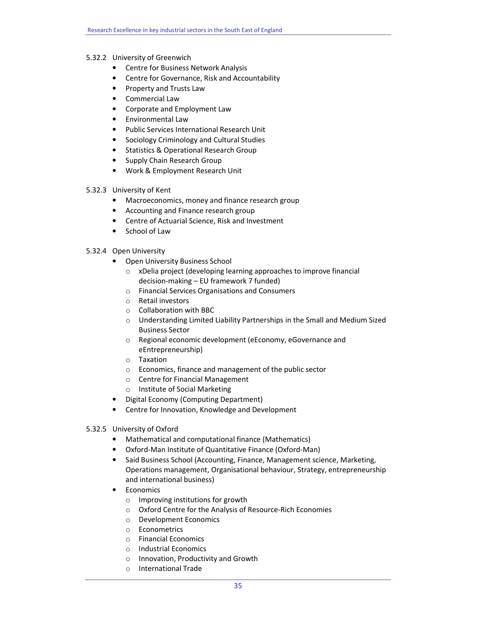# 5.32.2 University of Greenwich

- Centre for Business Network Analysis
- Centre for Governance, Risk and Accountability
- Property and Trusts Law
- Commercial Law
- Corporate and Employment Law
- Environmental Law
- Public Services International Research Unit
- Sociology Criminology and Cultural Studies
- Statistics & Operational Research Group
- Supply Chain Research Group
- Work & Employment Research Unit
- 5.32.3 University of Kent
	- Macroeconomics, money and finance research group
	- Accounting and Finance research group
	- Centre of Actuarial Science, Risk and Investment
	- School of Law

# 5.32.4 Open University

- Open University Business School
	- o xDelia project (developing learning approaches to improve financial decision-making – EU framework 7 funded)
	- o Financial Services Organisations and Consumers
	- o Retail investors
	- o Collaboration with BBC
	- o Understanding Limited Liability Partnerships in the Small and Medium Sized Business Sector
	- o Regional economic development (eEconomy, eGovernance and eEntrepreneurship)
	- o Taxation
	- o Economics, finance and management of the public sector
	- o Centre for Financial Management
	- o Institute of Social Marketing
- Digital Economy (Computing Department)
- Centre for Innovation, Knowledge and Development
- 5.32.5 University of Oxford
	- Mathematical and computational finance (Mathematics)
	- Oxford-Man Institute of Quantitative Finance (Oxford-Man)
	- Said Business School (Accounting, Finance, Management science, Marketing, Operations management, Organisational behaviour, Strategy, entrepreneurship and international business)
	- Economics
		- o Improving institutions for growth
		- o Oxford Centre for the Analysis of Resource-Rich Economies
		- o Development Economics
		- o Econometrics
		- o Financial Economics
		- o Industrial Economics
		- o Innovation, Productivity and Growth
		- o International Trade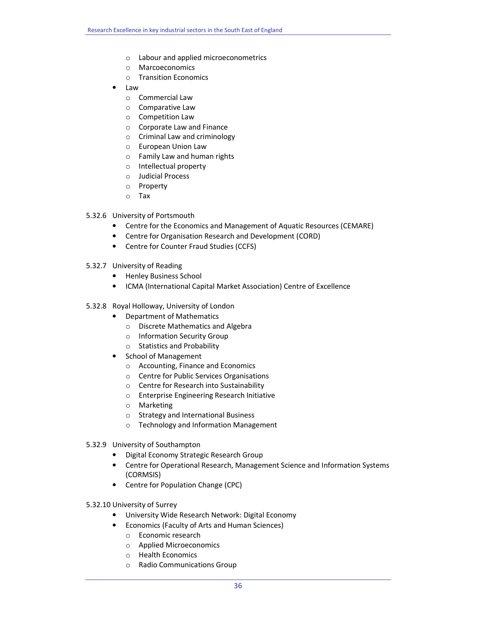- o Labour and applied microeconometrics
- o Marcoeconomics
- o Transition Economics
- Law
	- o Commercial Law
	- o Comparative Law
	- o Competition Law
	- o Corporate Law and Finance
	- o Criminal Law and criminology
	- o European Union Law
	- o Family Law and human rights
	- o Intellectual property
	- o Judicial Process
	- o Property
	- o Tax

# 5.32.6 University of Portsmouth

- Centre for the Economics and Management of Aquatic Resources (CEMARE)
- Centre for Organisation Research and Development (CORD)
- Centre for Counter Fraud Studies (CCFS)
- 5.32.7 University of Reading
	- Henley Business School
	- ICMA (International Capital Market Association) Centre of Excellence
- 5.32.8 Royal Holloway, University of London
	- Department of Mathematics
		- o Discrete Mathematics and Algebra
		- o Information Security Group
		- o Statistics and Probability
	- School of Management
		- o Accounting, Finance and Economics
		- o Centre for Public Services Organisations
		- o Centre for Research into Sustainability
		- o Enterprise Engineering Research Initiative
		- o Marketing
		- o Strategy and International Business
		- o Technology and Information Management
- 5.32.9 University of Southampton
	- Digital Economy Strategic Research Group
	- Centre for Operational Research, Management Science and Information Systems (CORMSIS)
	- Centre for Population Change (CPC)
- 5.32.10 University of Surrey
	- University Wide Research Network: Digital Economy
	- Economics (Faculty of Arts and Human Sciences)
		- o Economic research
		- o Applied Microeconomics
		- o Health Economics
		- o Radio Communications Group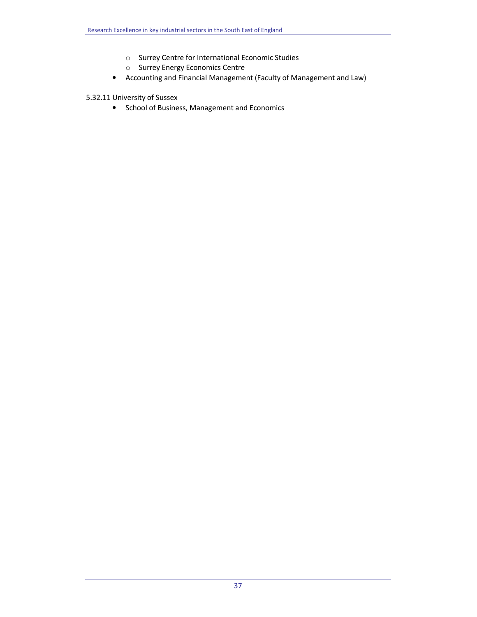- o Surrey Centre for International Economic Studies
- o Surrey Energy Economics Centre
- Accounting and Financial Management (Faculty of Management and Law)

5.32.11 University of Sussex

• School of Business, Management and Economics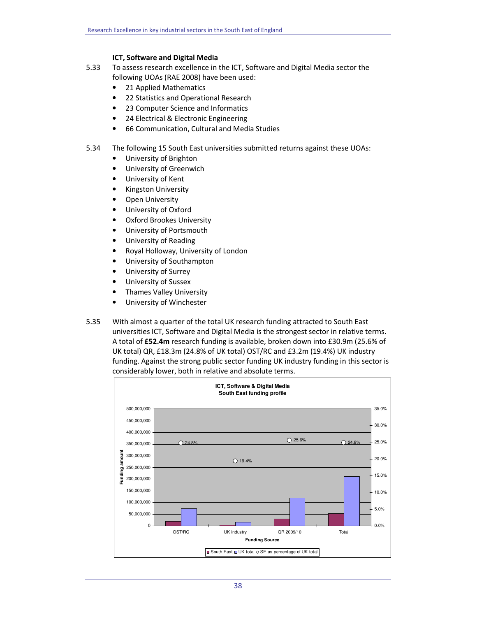# ICT, Software and Digital Media

- 5.33 To assess research excellence in the ICT, Software and Digital Media sector the following UOAs (RAE 2008) have been used:
	- 21 Applied Mathematics
	- 22 Statistics and Operational Research
	- 23 Computer Science and Informatics
	- 24 Electrical & Electronic Engineering
	- 66 Communication, Cultural and Media Studies
- 5.34 The following 15 South East universities submitted returns against these UOAs:
	- University of Brighton
	- University of Greenwich
	- University of Kent
	- Kingston University
	- **Open University**
	- University of Oxford
	- Oxford Brookes University
	- University of Portsmouth
	- University of Reading
	- Royal Holloway, University of London
	- University of Southampton
	- University of Surrey
	- University of Sussex
	- Thames Valley University
	- University of Winchester
- 5.35 With almost a quarter of the total UK research funding attracted to South East universities ICT, Software and Digital Media is the strongest sector in relative terms. A total of £52.4m research funding is available, broken down into £30.9m (25.6% of UK total) QR, £18.3m (24.8% of UK total) OST/RC and £3.2m (19.4%) UK industry funding. Against the strong public sector funding UK industry funding in this sector is considerably lower, both in relative and absolute terms.

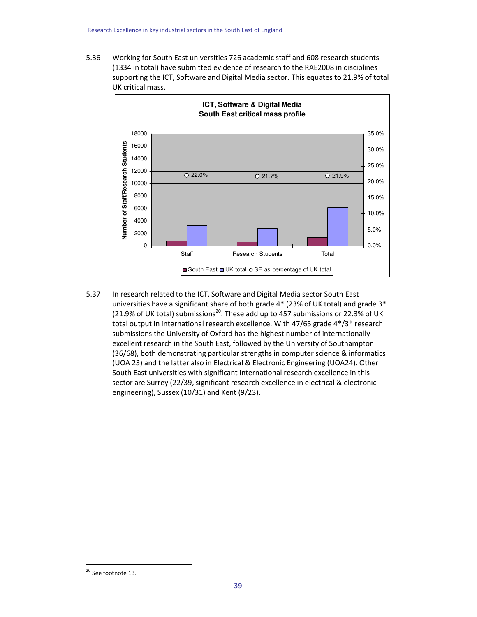5.36 Working for South East universities 726 academic staff and 608 research students (1334 in total) have submitted evidence of research to the RAE2008 in disciplines supporting the ICT, Software and Digital Media sector. This equates to 21.9% of total UK critical mass.



5.37 In research related to the ICT, Software and Digital Media sector South East universities have a significant share of both grade 4\* (23% of UK total) and grade 3\* (21.9% of UK total) submissions<sup>20</sup>. These add up to 457 submissions or 22.3% of UK total output in international research excellence. With 47/65 grade 4\*/3\* research submissions the University of Oxford has the highest number of internationally excellent research in the South East, followed by the University of Southampton (36/68), both demonstrating particular strengths in computer science & informatics (UOA 23) and the latter also in Electrical & Electronic Engineering (UOA24). Other South East universities with significant international research excellence in this sector are Surrey (22/39, significant research excellence in electrical & electronic engineering), Sussex (10/31) and Kent (9/23).

<sup>&</sup>lt;sup>20</sup> See footnote 13.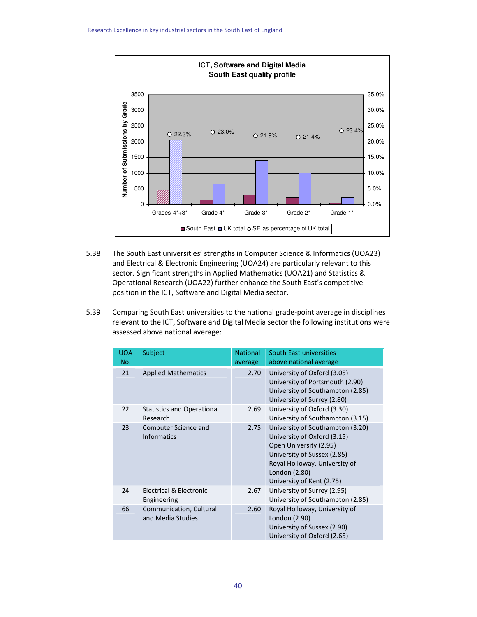

- 5.38 The South East universities' strengths in Computer Science & Informatics (UOA23) and Electrical & Electronic Engineering (UOA24) are particularly relevant to this sector. Significant strengths in Applied Mathematics (UOA21) and Statistics & Operational Research (UOA22) further enhance the South East's competitive position in the ICT, Software and Digital Media sector.
- 5.39 Comparing South East universities to the national grade-point average in disciplines relevant to the ICT, Software and Digital Media sector the following institutions were assessed above national average:

| <b>UOA</b><br>No. | Subject                                       | <b>National</b><br>average | South East universities<br>above national average                                                                                                                                                       |
|-------------------|-----------------------------------------------|----------------------------|---------------------------------------------------------------------------------------------------------------------------------------------------------------------------------------------------------|
| 21                | <b>Applied Mathematics</b>                    | 2.70                       | University of Oxford (3.05)<br>University of Portsmouth (2.90)<br>University of Southampton (2.85)<br>University of Surrey (2.80)                                                                       |
| 22                | <b>Statistics and Operational</b><br>Research | 2.69                       | University of Oxford (3.30)<br>University of Southampton (3.15)                                                                                                                                         |
| 23                | Computer Science and<br><b>Informatics</b>    | 2.75                       | University of Southampton (3.20)<br>University of Oxford (3.15)<br>Open University (2.95)<br>University of Sussex (2.85)<br>Royal Holloway, University of<br>London (2.80)<br>University of Kent (2.75) |
| 24                | Electrical & Electronic<br>Engineering        | 2.67                       | University of Surrey (2.95)<br>University of Southampton (2.85)                                                                                                                                         |
| 66                | Communication, Cultural<br>and Media Studies  | 2.60                       | Royal Holloway, University of<br>London (2.90)<br>University of Sussex (2.90)<br>University of Oxford (2.65)                                                                                            |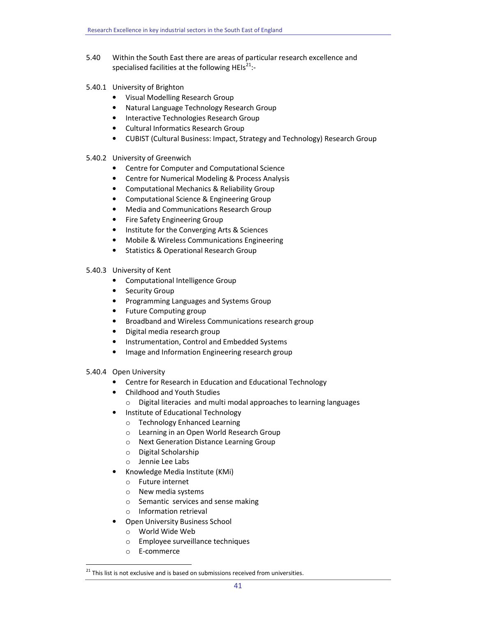- 5.40 Within the South East there are areas of particular research excellence and specialised facilities at the following HEIs<sup>21</sup>:-
- 5.40.1 University of Brighton
	- Visual Modelling Research Group
	- Natural Language Technology Research Group
	- Interactive Technologies Research Group
	- Cultural Informatics Research Group
	- CUBIST (Cultural Business: Impact, Strategy and Technology) Research Group

## 5.40.2 University of Greenwich

- Centre for Computer and Computational Science
- Centre for Numerical Modeling & Process Analysis
- Computational Mechanics & Reliability Group
- Computational Science & Engineering Group
- Media and Communications Research Group
- Fire Safety Engineering Group
- Institute for the Converging Arts & Sciences
- Mobile & Wireless Communications Engineering
- Statistics & Operational Research Group
- 5.40.3 University of Kent
	- Computational Intelligence Group
	- Security Group
	- Programming Languages and Systems Group
	- Future Computing group
	- Broadband and Wireless Communications research group
	- Digital media research group
	- Instrumentation, Control and Embedded Systems
	- Image and Information Engineering research group
- 5.40.4 Open University
	- Centre for Research in Education and Educational Technology
	- Childhood and Youth Studies
		- o Digital literacies and multi modal approaches to learning languages
	- Institute of Educational Technology
		- o Technology Enhanced Learning
		- o Learning in an Open World Research Group
		- o Next Generation Distance Learning Group
		- o Digital Scholarship
		- o Jennie Lee Labs
	- Knowledge Media Institute (KMi)
		- o Future internet
		- o New media systems
		- o Semantic services and sense making
		- o Information retrieval
	- Open University Business School
		- o World Wide Web
		- o Employee surveillance techniques
		- o E-commerce

 $21$  This list is not exclusive and is based on submissions received from universities.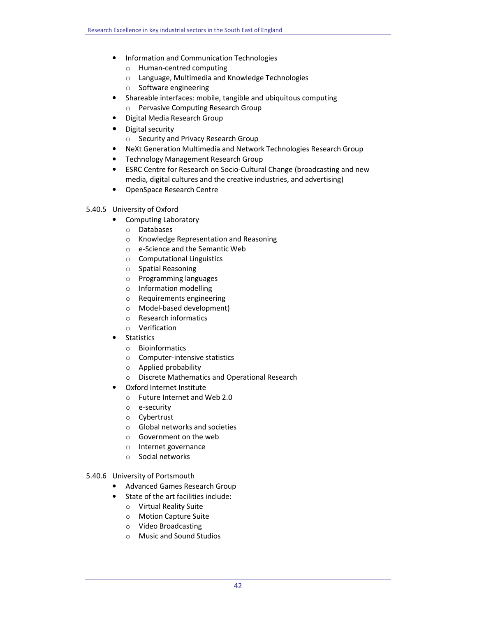- Information and Communication Technologies
	- o Human-centred computing
	- o Language, Multimedia and Knowledge Technologies
	- o Software engineering
- Shareable interfaces: mobile, tangible and ubiquitous computing
	- o Pervasive Computing Research Group
- Digital Media Research Group
- Digital security
	- o Security and Privacy Research Group
- NeXt Generation Multimedia and Network Technologies Research Group
- Technology Management Research Group
- ESRC Centre for Research on Socio-Cultural Change (broadcasting and new media, digital cultures and the creative industries, and advertising)
- OpenSpace Research Centre
- 5.40.5 University of Oxford
	- Computing Laboratory
		- o Databases
		- o Knowledge Representation and Reasoning
		- o e-Science and the Semantic Web
		- o Computational Linguistics
		- o Spatial Reasoning
		- o Programming languages
		- o Information modelling
		- o Requirements engineering
		- o Model-based development)
		- o Research informatics
		- o Verification
	- Statistics
		- o Bioinformatics
		- o Computer-intensive statistics
		- o Applied probability
		- o Discrete Mathematics and Operational Research
	- Oxford Internet Institute
		- o Future Internet and Web 2.0
		- o e-security
		- o Cybertrust
		- o Global networks and societies
		- o Government on the web
		- o Internet governance
		- o Social networks

# 5.40.6 University of Portsmouth

- Advanced Games Research Group
- State of the art facilities include:
	- o Virtual Reality Suite
	- o Motion Capture Suite
	- o Video Broadcasting
	- o Music and Sound Studios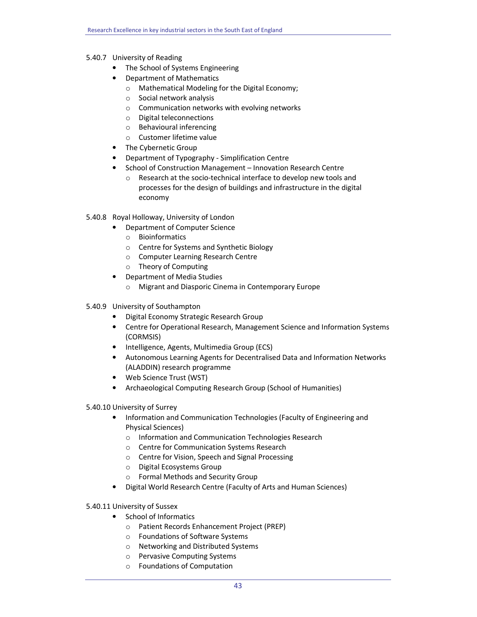# 5.40.7 University of Reading

- The School of Systems Engineering
- Department of Mathematics
	- o Mathematical Modeling for the Digital Economy;
	- o Social network analysis
	- o Communication networks with evolving networks
	- o Digital teleconnections
	- o Behavioural inferencing
	- o Customer lifetime value
- The Cybernetic Group
- Department of Typography Simplification Centre
- School of Construction Management Innovation Research Centre
	- o Research at the socio-technical interface to develop new tools and processes for the design of buildings and infrastructure in the digital economy

# 5.40.8 Royal Holloway, University of London

- Department of Computer Science
	- o Bioinformatics
	- o Centre for Systems and Synthetic Biology
	- o Computer Learning Research Centre
	- o Theory of Computing
- Department of Media Studies
	- o Migrant and Diasporic Cinema in Contemporary Europe
- 5.40.9 University of Southampton
	- Digital Economy Strategic Research Group
	- Centre for Operational Research, Management Science and Information Systems (CORMSIS)
	- Intelligence, Agents, Multimedia Group (ECS)
	- Autonomous Learning Agents for Decentralised Data and Information Networks (ALADDIN) research programme
	- Web Science Trust (WST)
	- Archaeological Computing Research Group (School of Humanities)

## 5.40.10 University of Surrey

- Information and Communication Technologies (Faculty of Engineering and Physical Sciences)
	- o Information and Communication Technologies Research
	- o Centre for Communication Systems Research
	- o Centre for Vision, Speech and Signal Processing
	- o Digital Ecosystems Group
	- o Formal Methods and Security Group
- Digital World Research Centre (Faculty of Arts and Human Sciences)

## 5.40.11 University of Sussex

- School of Informatics
	- o Patient Records Enhancement Project (PREP)
	- o Foundations of Software Systems
	- o Networking and Distributed Systems
	- o Pervasive Computing Systems
	- o Foundations of Computation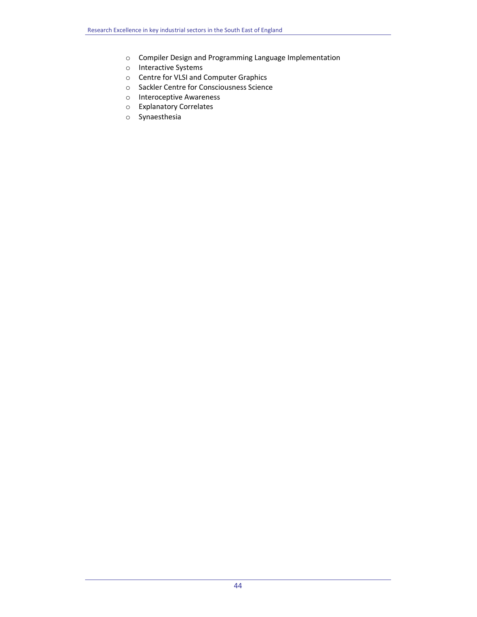- o Compiler Design and Programming Language Implementation
- o Interactive Systems
- o Centre for VLSI and Computer Graphics
- o Sackler Centre for Consciousness Science
- o Interoceptive Awareness
- o Explanatory Correlates
- o Synaesthesia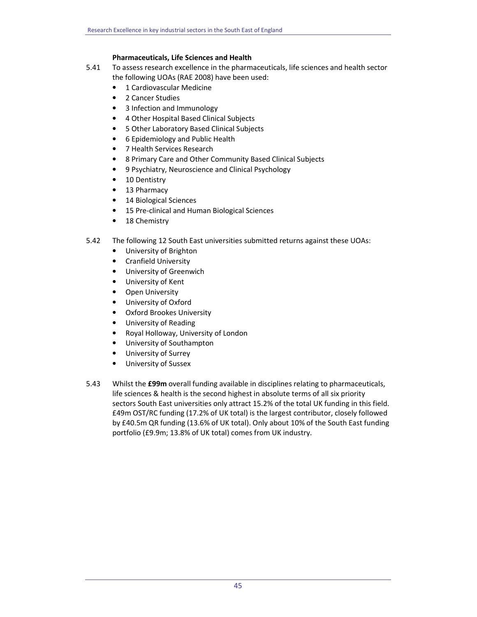# Pharmaceuticals, Life Sciences and Health

- 5.41 To assess research excellence in the pharmaceuticals, life sciences and health sector the following UOAs (RAE 2008) have been used:
	- 1 Cardiovascular Medicine
	- 2 Cancer Studies
	- 3 Infection and Immunology
	- 4 Other Hospital Based Clinical Subjects
	- 5 Other Laboratory Based Clinical Subjects
	- 6 Epidemiology and Public Health
	- 7 Health Services Research
	- 8 Primary Care and Other Community Based Clinical Subjects
	- 9 Psychiatry, Neuroscience and Clinical Psychology
	- 10 Dentistry
	- 13 Pharmacy
	- 14 Biological Sciences
	- 15 Pre-clinical and Human Biological Sciences
	- 18 Chemistry
- 5.42 The following 12 South East universities submitted returns against these UOAs:
	- University of Brighton
	- Cranfield University
	- University of Greenwich
	- University of Kent
	- Open University
	- University of Oxford
	- Oxford Brookes University
	- University of Reading
	- Royal Holloway, University of London
	- University of Southampton
	- University of Surrey
	- University of Sussex
- 5.43 Whilst the £99m overall funding available in disciplines relating to pharmaceuticals, life sciences & health is the second highest in absolute terms of all six priority sectors South East universities only attract 15.2% of the total UK funding in this field. £49m OST/RC funding (17.2% of UK total) is the largest contributor, closely followed by £40.5m QR funding (13.6% of UK total). Only about 10% of the South East funding portfolio (£9.9m; 13.8% of UK total) comes from UK industry.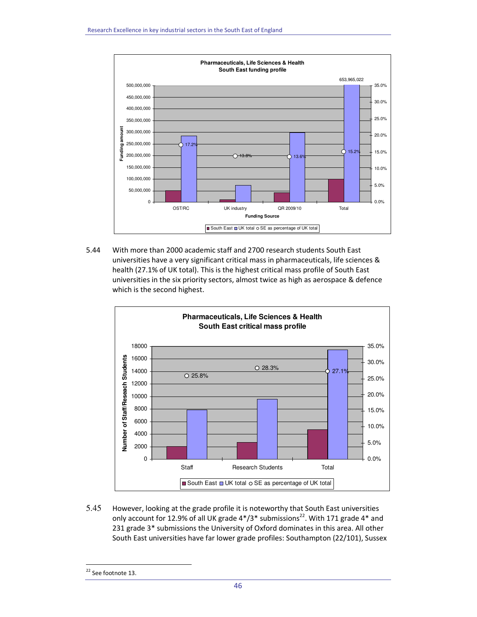

5.44 With more than 2000 academic staff and 2700 research students South East universities have a very significant critical mass in pharmaceuticals, life sciences & health (27.1% of UK total). This is the highest critical mass profile of South East universities in the six priority sectors, almost twice as high as aerospace & defence which is the second highest.



5.45 However, looking at the grade profile it is noteworthy that South East universities only account for 12.9% of all UK grade  $4*/3*$  submissions<sup>22</sup>. With 171 grade  $4*$  and 231 grade 3\* submissions the University of Oxford dominates in this area. All other South East universities have far lower grade profiles: Southampton (22/101), Sussex

<sup>&</sup>lt;sup>22</sup> See footnote 13.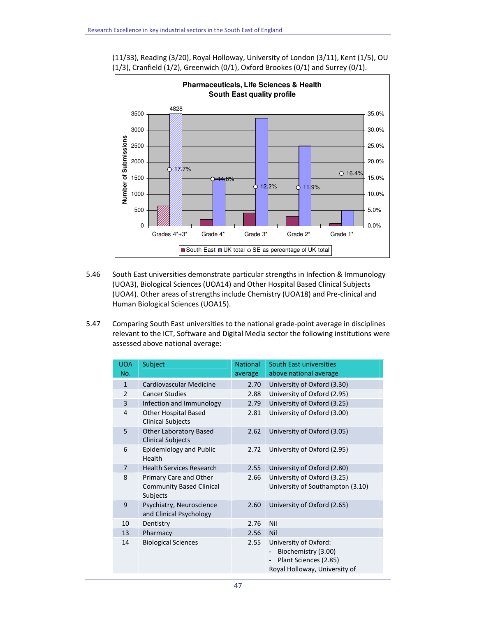

(11/33), Reading (3/20), Royal Holloway, University of London (3/11), Kent (1/5), OU (1/3), Cranfield (1/2), Greenwich (0/1), Oxford Brookes (0/1) and Surrey (0/1).

- 5.46 South East universities demonstrate particular strengths in Infection & Immunology (UOA3), Biological Sciences (UOA14) and Other Hospital Based Clinical Subjects (UOA4). Other areas of strengths include Chemistry (UOA18) and Pre-clinical and Human Biological Sciences (UOA15).
- 5.47 Comparing South East universities to the national grade-point average in disciplines relevant to the ICT, Software and Digital Media sector the following institutions were assessed above national average:

| <b>UOA</b><br>No. | Subject                                                   | <b>National</b> | South East universities<br>above national average                                                      |
|-------------------|-----------------------------------------------------------|-----------------|--------------------------------------------------------------------------------------------------------|
|                   |                                                           | average         |                                                                                                        |
| $\mathbf{1}$      | Cardiovascular Medicine                                   | 2.70            | University of Oxford (3.30)                                                                            |
| $\overline{2}$    | <b>Cancer Studies</b>                                     | 2.88            | University of Oxford (2.95)                                                                            |
| 3                 | Infection and Immunology                                  | 2.79            | University of Oxford (3.25)                                                                            |
| 4                 | <b>Other Hospital Based</b><br><b>Clinical Subjects</b>   | 2.81            | University of Oxford (3.00)                                                                            |
| 5                 | <b>Other Laboratory Based</b><br><b>Clinical Subjects</b> | 2.62            | University of Oxford (3.05)                                                                            |
| 6                 | Epidemiology and Public<br>Health                         | 2.72            | University of Oxford (2.95)                                                                            |
| $\overline{7}$    | <b>Health Services Research</b>                           | 2.55            | University of Oxford (2.80)                                                                            |
| 8                 | Primary Care and Other                                    | 2.66            | University of Oxford (3.25)                                                                            |
|                   | <b>Community Based Clinical</b><br>Subjects               |                 | University of Southampton (3.10)                                                                       |
| 9                 | Psychiatry, Neuroscience<br>and Clinical Psychology       | 2.60            | University of Oxford (2.65)                                                                            |
| 10                | Dentistry                                                 | 2.76            | Nil                                                                                                    |
| 13                | Pharmacy                                                  | 2.56            | Nil                                                                                                    |
| 14                | <b>Biological Sciences</b>                                | 2.55            | University of Oxford:<br>Biochemistry (3.00)<br>Plant Sciences (2.85)<br>Royal Holloway, University of |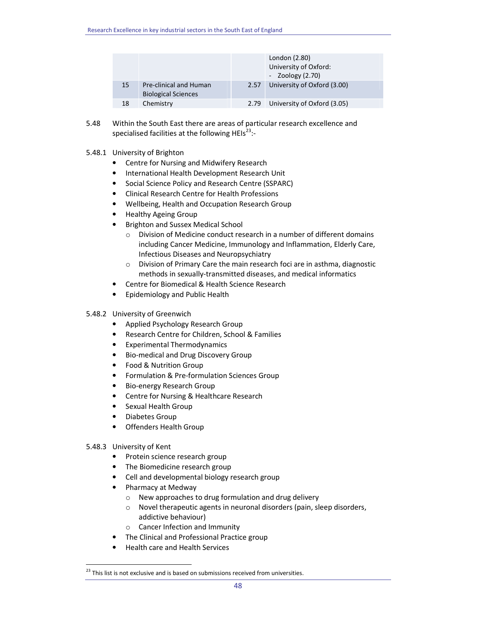|    |                                                      |      | London (2.80)<br>University of Oxford:<br>- Zoology $(2.70)$ |
|----|------------------------------------------------------|------|--------------------------------------------------------------|
| 15 | Pre-clinical and Human<br><b>Biological Sciences</b> | 2.57 | University of Oxford (3.00)                                  |
| 18 | Chemistry                                            | 2.79 | University of Oxford (3.05)                                  |

- 5.48 Within the South East there are areas of particular research excellence and specialised facilities at the following HEIs<sup>23</sup>:-
- 5.48.1 University of Brighton
	- Centre for Nursing and Midwifery Research
	- International Health Development Research Unit
	- Social Science Policy and Research Centre (SSPARC)
	- Clinical Research Centre for Health Professions
	- Wellbeing, Health and Occupation Research Group
	- Healthy Ageing Group
	- Brighton and Sussex Medical School
		- $\circ$  Division of Medicine conduct research in a number of different domains including Cancer Medicine, Immunology and Inflammation, Elderly Care, Infectious Diseases and Neuropsychiatry
		- o Division of Primary Care the main research foci are in asthma, diagnostic methods in sexually-transmitted diseases, and medical informatics
	- Centre for Biomedical & Health Science Research
	- Epidemiology and Public Health
- 5.48.2 University of Greenwich
	- Applied Psychology Research Group
	- Research Centre for Children, School & Families
	- Experimental Thermodynamics
	- Bio-medical and Drug Discovery Group
	- Food & Nutrition Group
	- Formulation & Pre-formulation Sciences Group
	- Bio-energy Research Group
	- Centre for Nursing & Healthcare Research
	- Sexual Health Group
	- Diabetes Group
	- Offenders Health Group

## 5.48.3 University of Kent

- Protein science research group
- The Biomedicine research group
- Cell and developmental biology research group
- Pharmacy at Medway
	- o New approaches to drug formulation and drug delivery
	- o Novel therapeutic agents in neuronal disorders (pain, sleep disorders, addictive behaviour)
	- o Cancer Infection and Immunity
	- The Clinical and Professional Practice group
- Health care and Health Services

 $23$  This list is not exclusive and is based on submissions received from universities.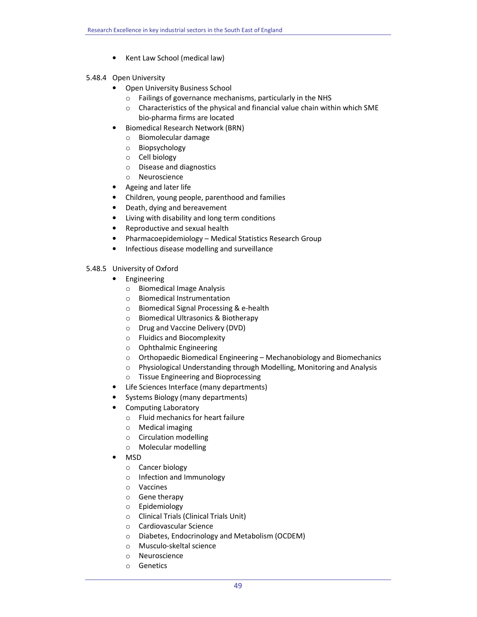• Kent Law School (medical law)

# 5.48.4 Open University

- Open University Business School
	- o Failings of governance mechanisms, particularly in the NHS
	- o Characteristics of the physical and financial value chain within which SME bio-pharma firms are located
	- Biomedical Research Network (BRN)
		- o Biomolecular damage
		- o Biopsychology
		- o Cell biology
		- o Disease and diagnostics
		- o Neuroscience
- Ageing and later life
- Children, young people, parenthood and families
- Death, dying and bereavement
- Living with disability and long term conditions
- Reproductive and sexual health
- Pharmacoepidemiology Medical Statistics Research Group
- Infectious disease modelling and surveillance

# 5.48.5 University of Oxford

- Engineering
	- o Biomedical Image Analysis
	- o Biomedical Instrumentation
	- o Biomedical Signal Processing & e-health
	- o Biomedical Ultrasonics & Biotherapy
	- o Drug and Vaccine Delivery (DVD)
	- o Fluidics and Biocomplexity
	- o Ophthalmic Engineering
	- $\circ$  Orthopaedic Biomedical Engineering Mechanobiology and Biomechanics
	- o Physiological Understanding through Modelling, Monitoring and Analysis
	- o Tissue Engineering and Bioprocessing
- Life Sciences Interface (many departments)
- Systems Biology (many departments)
- Computing Laboratory
	- o Fluid mechanics for heart failure
	- o Medical imaging
	- o Circulation modelling
	- o Molecular modelling
- MSD
	- o Cancer biology
	- o Infection and Immunology
	- o Vaccines
	- o Gene therapy
	- o Epidemiology
	- o Clinical Trials (Clinical Trials Unit)
	- o Cardiovascular Science
	- o Diabetes, Endocrinology and Metabolism (OCDEM)
	- o Musculo-skeltal science
	- o Neuroscience
	- o Genetics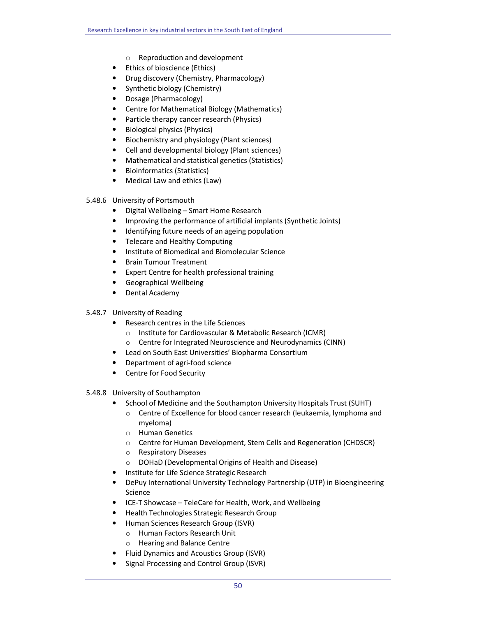- o Reproduction and development
- Ethics of bioscience (Ethics)
- Drug discovery (Chemistry, Pharmacology)
- Synthetic biology (Chemistry)
- Dosage (Pharmacology)
- Centre for Mathematical Biology (Mathematics)
- Particle therapy cancer research (Physics)
- Biological physics (Physics)
- Biochemistry and physiology (Plant sciences)
- Cell and developmental biology (Plant sciences)
- Mathematical and statistical genetics (Statistics)
- Bioinformatics (Statistics)
- Medical Law and ethics (Law)
- 5.48.6 University of Portsmouth
	- Digital Wellbeing Smart Home Research
	- Improving the performance of artificial implants (Synthetic Joints)
	- Identifying future needs of an ageing population
	- Telecare and Healthy Computing
	- Institute of Biomedical and Biomolecular Science
	- Brain Tumour Treatment
	- Expert Centre for health professional training
	- Geographical Wellbeing
	- Dental Academy
- 5.48.7 University of Reading
	- Research centres in the Life Sciences
		- o Institute for Cardiovascular & Metabolic Research (ICMR)
		- o Centre for Integrated Neuroscience and Neurodynamics (CINN)
	- Lead on South East Universities' Biopharma Consortium
	- Department of agri-food science
	- Centre for Food Security
- 5.48.8 University of Southampton
	- School of Medicine and the Southampton University Hospitals Trust (SUHT)
		- $\circ$  Centre of Excellence for blood cancer research (leukaemia, lymphoma and myeloma)
		- o Human Genetics
		- o Centre for Human Development, Stem Cells and Regeneration (CHDSCR)
		- o Respiratory Diseases
		- o DOHaD (Developmental Origins of Health and Disease)
	- Institute for Life Science Strategic Research
	- DePuy International University Technology Partnership (UTP) in Bioengineering Science
	- ICE-T Showcase TeleCare for Health, Work, and Wellbeing
	- Health Technologies Strategic Research Group
	- Human Sciences Research Group (ISVR)
		- o Human Factors Research Unit
		- o Hearing and Balance Centre
	- Fluid Dynamics and Acoustics Group (ISVR)
	- Signal Processing and Control Group (ISVR)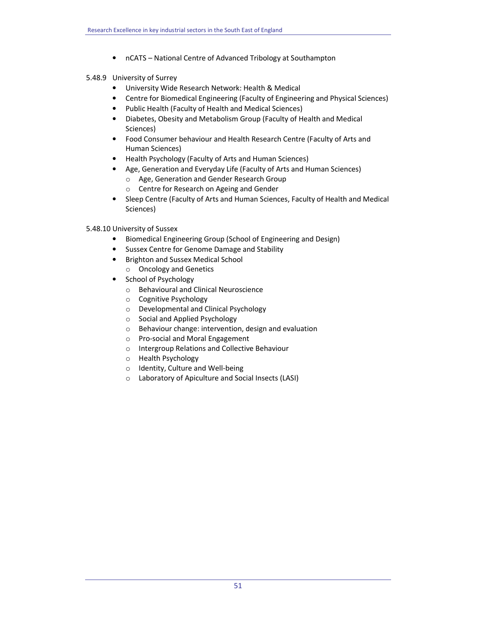• nCATS – National Centre of Advanced Tribology at Southampton

# 5.48.9 University of Surrey

- University Wide Research Network: Health & Medical
- Centre for Biomedical Engineering (Faculty of Engineering and Physical Sciences)
- Public Health (Faculty of Health and Medical Sciences)
- Diabetes, Obesity and Metabolism Group (Faculty of Health and Medical Sciences)
- Food Consumer behaviour and Health Research Centre (Faculty of Arts and Human Sciences)
- Health Psychology (Faculty of Arts and Human Sciences)
- Age, Generation and Everyday Life (Faculty of Arts and Human Sciences)
	- o Age, Generation and Gender Research Group
	- o Centre for Research on Ageing and Gender
- Sleep Centre (Faculty of Arts and Human Sciences, Faculty of Health and Medical Sciences)

# 5.48.10 University of Sussex

- Biomedical Engineering Group (School of Engineering and Design)
- Sussex Centre for Genome Damage and Stability
- Brighton and Sussex Medical School o Oncology and Genetics
- School of Psychology
	- o Behavioural and Clinical Neuroscience
	- o Cognitive Psychology
	- o Developmental and Clinical Psychology
	- o Social and Applied Psychology
	- o Behaviour change: intervention, design and evaluation
	- o Pro-social and Moral Engagement
	- o Intergroup Relations and Collective Behaviour
	- o Health Psychology
	- o Identity, Culture and Well-being
	- o Laboratory of Apiculture and Social Insects (LASI)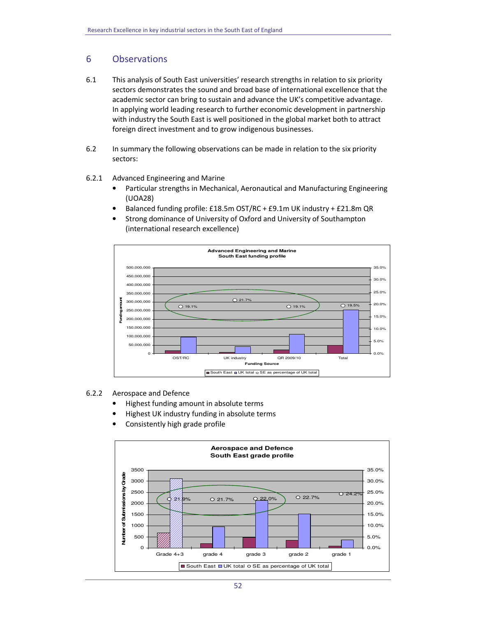# 6 Observations

- 6.1 This analysis of South East universities' research strengths in relation to six priority sectors demonstrates the sound and broad base of international excellence that the academic sector can bring to sustain and advance the UK's competitive advantage. In applying world leading research to further economic development in partnership with industry the South East is well positioned in the global market both to attract foreign direct investment and to grow indigenous businesses.
- 6.2 In summary the following observations can be made in relation to the six priority sectors:

## 6.2.1 Advanced Engineering and Marine

- Particular strengths in Mechanical, Aeronautical and Manufacturing Engineering (UOA28)
- Balanced funding profile: £18.5m OST/RC + £9.1m UK industry + £21.8m QR
- Strong dominance of University of Oxford and University of Southampton (international research excellence)



# 6.2.2 Aerospace and Defence

- Highest funding amount in absolute terms
- Highest UK industry funding in absolute terms
- Consistently high grade profile

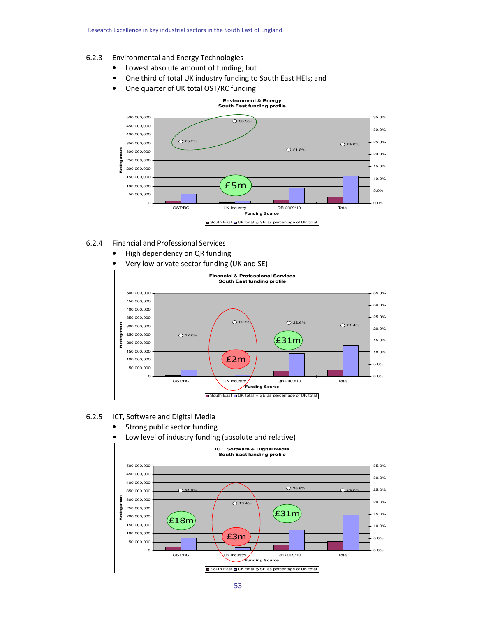- 6.2.3 Environmental and Energy Technologies
	- Lowest absolute amount of funding; but
	- One third of total UK industry funding to South East HEIs; and
	- One quarter of UK total OST/RC funding



- 6.2.4 Financial and Professional Services
	- High dependency on QR funding
	- Very low private sector funding (UK and SE)



## 6.2.5 ICT, Software and Digital Media

- Strong public sector funding
- Low level of industry funding (absolute and relative)

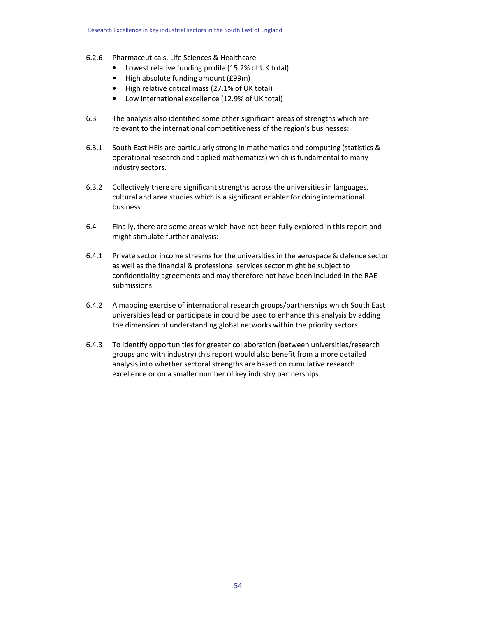- 6.2.6 Pharmaceuticals, Life Sciences & Healthcare
	- Lowest relative funding profile (15.2% of UK total)
	- High absolute funding amount (£99m)
	- High relative critical mass (27.1% of UK total)
	- Low international excellence (12.9% of UK total)
- 6.3 The analysis also identified some other significant areas of strengths which are relevant to the international competitiveness of the region's businesses:
- 6.3.1 South East HEIs are particularly strong in mathematics and computing (statistics & operational research and applied mathematics) which is fundamental to many industry sectors.
- 6.3.2 Collectively there are significant strengths across the universities in languages, cultural and area studies which is a significant enabler for doing international business.
- 6.4 Finally, there are some areas which have not been fully explored in this report and might stimulate further analysis:
- 6.4.1 Private sector income streams for the universities in the aerospace & defence sector as well as the financial & professional services sector might be subject to confidentiality agreements and may therefore not have been included in the RAE submissions.
- 6.4.2 A mapping exercise of international research groups/partnerships which South East universities lead or participate in could be used to enhance this analysis by adding the dimension of understanding global networks within the priority sectors.
- 6.4.3 To identify opportunities for greater collaboration (between universities/research groups and with industry) this report would also benefit from a more detailed analysis into whether sectoral strengths are based on cumulative research excellence or on a smaller number of key industry partnerships.